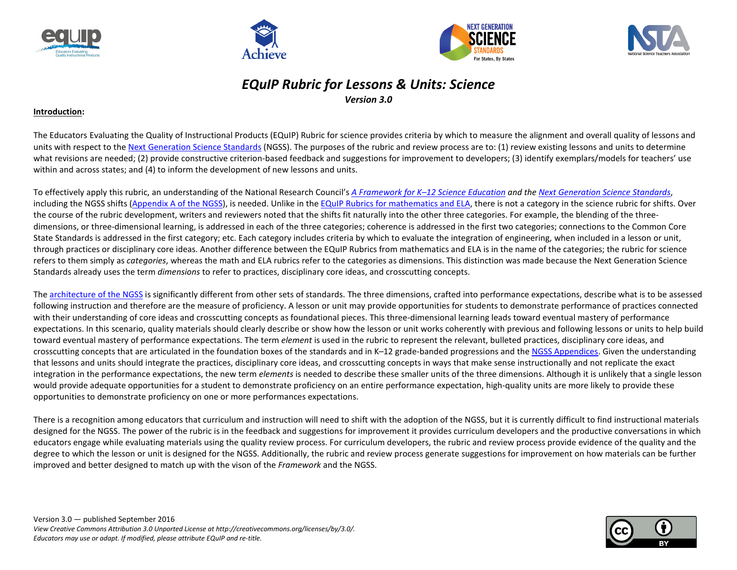







## *EQuIP Rubric for Lessons & Units: Science Version 3.0*

#### **Introduction:**

The Educators Evaluating the Quality of Instructional Products (EQuIP) Rubric for science provides criteria by which to measure the alignment and overall quality of lessons and units with respect to the [Next Generation Science Standards](http://www.nextgenscience.org/search-standards) (NGSS). The purposes of the rubric and review process are to: (1) review existing lessons and units to determine what revisions are needed; (2) provide constructive criterion-based feedback and suggestions for improvement to developers; (3) identify exemplars/models for teachers' use within and across states; and (4) to inform the development of new lessons and units.

To effectively apply this rubric, an understanding of the National Research Council's *A [Framework for K–12 Science Education](https://www.nap.edu/catalog/13165/a-framework-for-k-12-science-education-practices-crosscutting-concepts) and the [Next Generation Science Standards](http://www.nextgenscience.org/get-to-know)*, including the NGSS shifts [\(Appendix A of the NGSS\)](http://www.nextgenscience.org/sites/default/files/Appendix%20A%20-%204.11.13%20Conceptual%20Shifts%20in%20the%20Next%20Generation%20Science%20Standards.pdf), is needed. Unlike in th[e EQuIP Rubrics for mathematics and ELA,](http://www.achieve.org/EQuIP) there is not a category in the science rubric for shifts. Over the course of the rubric development, writers and reviewers noted that the shifts fit naturally into the other three categories. For example, the blending of the threedimensions, or three-dimensional learning, is addressed in each of the three categories; coherence is addressed in the first two categories; connections to the Common Core State Standards is addressed in the first category; etc. Each category includes criteria by which to evaluate the integration of engineering, when included in a lesson or unit, through practices or disciplinary core ideas. Another difference between the EQuIP Rubrics from mathematics and ELA is in the name of the categories; the rubric for science refers to them simply as *categories*, whereas the math and ELA rubrics refer to the categories as dimensions. This distinction was made because the Next Generation Science Standards already uses the term *dimensions* to refer to practices, disciplinary core ideas, and crosscutting concepts.

Th[e architecture of the NGSS](http://www.nextgenscience.org/sites/default/files/How%20to%20Read%20NGSS%20-%20Final%2008.19.13.pdf) is significantly different from other sets of standards. The three dimensions, crafted into performance expectations, describe what is to be assessed following instruction and therefore are the measure of proficiency. A lesson or unit may provide opportunities for students to demonstrate performance of practices connected with their understanding of core ideas and crosscutting concepts as foundational pieces. This three-dimensional learning leads toward eventual mastery of performance expectations. In this scenario, quality materials should clearly describe or show how the lesson or unit works coherently with previous and following lessons or units to help build toward eventual mastery of performance expectations. The term *element* is used in the rubric to represent the relevant, bulleted practices, disciplinary core ideas, and crosscutting concepts that are articulated in the foundation boxes of the standards and in K–12 grade-banded progressions and th[e NGSS Appendices.](http://www.nextgenscience.org/get-to-know) Given the understanding that lessons and units should integrate the practices, disciplinary core ideas, and crosscutting concepts in ways that make sense instructionally and not replicate the exact integration in the performance expectations, the new term *elements* is needed to describe these smaller units of the three dimensions. Although it is unlikely that a single lesson would provide adequate opportunities for a student to demonstrate proficiency on an entire performance expectation, high-quality units are more likely to provide these opportunities to demonstrate proficiency on one or more performances expectations.

There is a recognition among educators that curriculum and instruction will need to shift with the adoption of the NGSS, but it is currently difficult to find instructional materials designed for the NGSS. The power of the rubric is in the feedback and suggestions for improvement it provides curriculum developers and the productive conversations in which educators engage while evaluating materials using the quality review process. For curriculum developers, the rubric and review process provide evidence of the quality and the degree to which the lesson or unit is designed for the NGSS. Additionally, the rubric and review process generate suggestions for improvement on how materials can be further improved and better designed to match up with the vison of the *Framework* and the NGSS.

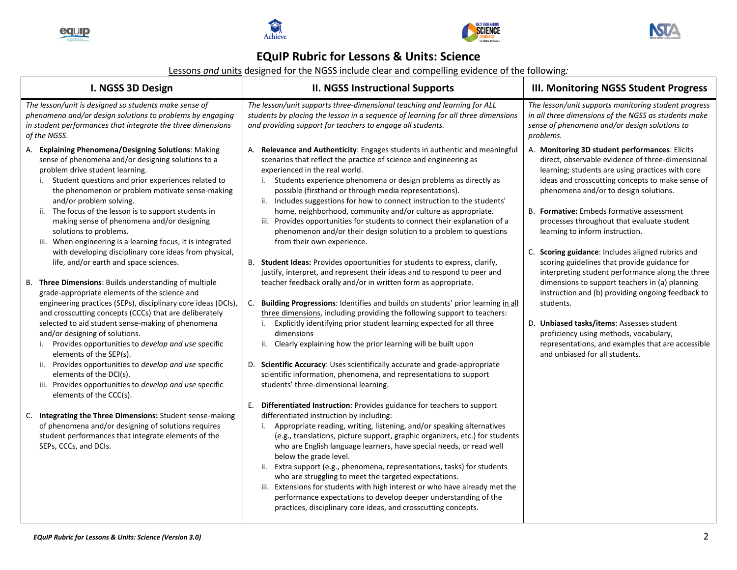







## **EQuIP Rubric for Lessons & Units: Science**

Lessons *and* units designed for the NGSS include clear and compelling evidence of the following*:*

| I. NGSS 3D Design                                                                                                                                                                                                                                                                                                                                                                                                                                                                                                                                                                                                                                                                                                                                                                                                                                                                                                                                                                                                                                                                                                                                                                                                                                                                                                                                                                            | <b>II. NGSS Instructional Supports</b>                                                                                                                                                                                                                                                                                                                                                                                                                                                                                                                                                                                                                                                                                                                                                                                                                                                                                                                                                                                                                                                                                                                                                                                                                                                                                                                                                                                                                                                                                                                                                                                                                                                                                                                                                                                                                                                                                                                                                                                                                                                                                                                  | <b>III. Monitoring NGSS Student Progress</b>                                                                                                                                                                                                                                                                                                                                                                                                                                                                                                                                                                                                                                                                                                                                                                                                 |
|----------------------------------------------------------------------------------------------------------------------------------------------------------------------------------------------------------------------------------------------------------------------------------------------------------------------------------------------------------------------------------------------------------------------------------------------------------------------------------------------------------------------------------------------------------------------------------------------------------------------------------------------------------------------------------------------------------------------------------------------------------------------------------------------------------------------------------------------------------------------------------------------------------------------------------------------------------------------------------------------------------------------------------------------------------------------------------------------------------------------------------------------------------------------------------------------------------------------------------------------------------------------------------------------------------------------------------------------------------------------------------------------|---------------------------------------------------------------------------------------------------------------------------------------------------------------------------------------------------------------------------------------------------------------------------------------------------------------------------------------------------------------------------------------------------------------------------------------------------------------------------------------------------------------------------------------------------------------------------------------------------------------------------------------------------------------------------------------------------------------------------------------------------------------------------------------------------------------------------------------------------------------------------------------------------------------------------------------------------------------------------------------------------------------------------------------------------------------------------------------------------------------------------------------------------------------------------------------------------------------------------------------------------------------------------------------------------------------------------------------------------------------------------------------------------------------------------------------------------------------------------------------------------------------------------------------------------------------------------------------------------------------------------------------------------------------------------------------------------------------------------------------------------------------------------------------------------------------------------------------------------------------------------------------------------------------------------------------------------------------------------------------------------------------------------------------------------------------------------------------------------------------------------------------------------------|----------------------------------------------------------------------------------------------------------------------------------------------------------------------------------------------------------------------------------------------------------------------------------------------------------------------------------------------------------------------------------------------------------------------------------------------------------------------------------------------------------------------------------------------------------------------------------------------------------------------------------------------------------------------------------------------------------------------------------------------------------------------------------------------------------------------------------------------|
| The lesson/unit is designed so students make sense of<br>phenomena and/or design solutions to problems by engaging<br>in student performances that integrate the three dimensions<br>of the NGSS.                                                                                                                                                                                                                                                                                                                                                                                                                                                                                                                                                                                                                                                                                                                                                                                                                                                                                                                                                                                                                                                                                                                                                                                            | The lesson/unit supports three-dimensional teaching and learning for ALL<br>students by placing the lesson in a sequence of learning for all three dimensions<br>and providing support for teachers to engage all students.                                                                                                                                                                                                                                                                                                                                                                                                                                                                                                                                                                                                                                                                                                                                                                                                                                                                                                                                                                                                                                                                                                                                                                                                                                                                                                                                                                                                                                                                                                                                                                                                                                                                                                                                                                                                                                                                                                                             | The lesson/unit supports monitoring student progress<br>in all three dimensions of the NGSS as students make<br>sense of phenomena and/or design solutions to<br>problems.                                                                                                                                                                                                                                                                                                                                                                                                                                                                                                                                                                                                                                                                   |
| A. Explaining Phenomena/Designing Solutions: Making<br>sense of phenomena and/or designing solutions to a<br>problem drive student learning.<br>Student questions and prior experiences related to<br>i.<br>the phenomenon or problem motivate sense-making<br>and/or problem solving.<br>ii. The focus of the lesson is to support students in<br>making sense of phenomena and/or designing<br>solutions to problems.<br>iii. When engineering is a learning focus, it is integrated<br>with developing disciplinary core ideas from physical,<br>life, and/or earth and space sciences.<br>B. Three Dimensions: Builds understanding of multiple<br>grade-appropriate elements of the science and<br>engineering practices (SEPs), disciplinary core ideas (DCIs),<br>and crosscutting concepts (CCCs) that are deliberately<br>selected to aid student sense-making of phenomena<br>and/or designing of solutions.<br>Provides opportunities to develop and use specific<br>i.<br>elements of the SEP(s).<br>ii. Provides opportunities to develop and use specific<br>elements of the DCI(s).<br>iii. Provides opportunities to develop and use specific<br>elements of the CCC(s).<br>C. Integrating the Three Dimensions: Student sense-making<br>of phenomena and/or designing of solutions requires<br>student performances that integrate elements of the<br>SEPs, CCCs, and DCIs. | A. Relevance and Authenticity: Engages students in authentic and meaningful<br>scenarios that reflect the practice of science and engineering as<br>experienced in the real world.<br>i. Students experience phenomena or design problems as directly as<br>possible (firsthand or through media representations).<br>ii. Includes suggestions for how to connect instruction to the students'<br>home, neighborhood, community and/or culture as appropriate.<br>iii. Provides opportunities for students to connect their explanation of a<br>phenomenon and/or their design solution to a problem to questions<br>from their own experience.<br>B. Student Ideas: Provides opportunities for students to express, clarify,<br>justify, interpret, and represent their ideas and to respond to peer and<br>teacher feedback orally and/or in written form as appropriate.<br>Building Progressions: Identifies and builds on students' prior learning in all<br>C.<br>three dimensions, including providing the following support to teachers:<br>Explicitly identifying prior student learning expected for all three<br>dimensions<br>ii. Clearly explaining how the prior learning will be built upon<br>D. Scientific Accuracy: Uses scientifically accurate and grade-appropriate<br>scientific information, phenomena, and representations to support<br>students' three-dimensional learning.<br>E. Differentiated Instruction: Provides guidance for teachers to support<br>differentiated instruction by including:<br>Appropriate reading, writing, listening, and/or speaking alternatives<br>i.<br>(e.g., translations, picture support, graphic organizers, etc.) for students<br>who are English language learners, have special needs, or read well<br>below the grade level.<br>ii. Extra support (e.g., phenomena, representations, tasks) for students<br>who are struggling to meet the targeted expectations.<br>iii. Extensions for students with high interest or who have already met the<br>performance expectations to develop deeper understanding of the<br>practices, disciplinary core ideas, and crosscutting concepts. | A. Monitoring 3D student performances: Elicits<br>direct, observable evidence of three-dimensional<br>learning; students are using practices with core<br>ideas and crosscutting concepts to make sense of<br>phenomena and/or to design solutions.<br>B. Formative: Embeds formative assessment<br>processes throughout that evaluate student<br>learning to inform instruction.<br>C. Scoring guidance: Includes aligned rubrics and<br>scoring guidelines that provide guidance for<br>interpreting student performance along the three<br>dimensions to support teachers in (a) planning<br>instruction and (b) providing ongoing feedback to<br>students.<br>D. Unbiased tasks/items: Assesses student<br>proficiency using methods, vocabulary,<br>representations, and examples that are accessible<br>and unbiased for all students. |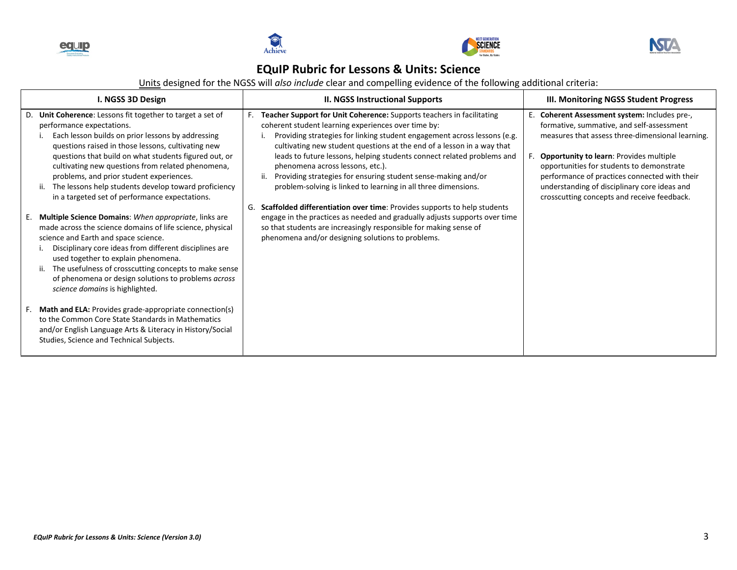







## **EQuIP Rubric for Lessons & Units: Science**

Units designed for the NGSS will *also include* clear and compelling evidence of the following additional criteria:

| I. NGSS 3D Design                                                                                                                                                                                                                                                                                                                                                                                                                                                             | <b>II. NGSS Instructional Supports</b>                                                                                                                                                                                                                                                                                                                                                                                                                                                                                                           | III. Monitoring NGSS Student Progress                                                                                                                                                                                                                                                                                                                                                         |
|-------------------------------------------------------------------------------------------------------------------------------------------------------------------------------------------------------------------------------------------------------------------------------------------------------------------------------------------------------------------------------------------------------------------------------------------------------------------------------|--------------------------------------------------------------------------------------------------------------------------------------------------------------------------------------------------------------------------------------------------------------------------------------------------------------------------------------------------------------------------------------------------------------------------------------------------------------------------------------------------------------------------------------------------|-----------------------------------------------------------------------------------------------------------------------------------------------------------------------------------------------------------------------------------------------------------------------------------------------------------------------------------------------------------------------------------------------|
| D. Unit Coherence: Lessons fit together to target a set of<br>performance expectations.<br>Each lesson builds on prior lessons by addressing<br>questions raised in those lessons, cultivating new<br>questions that build on what students figured out, or<br>cultivating new questions from related phenomena,<br>problems, and prior student experiences.<br>The lessons help students develop toward proficiency<br>ii.<br>in a targeted set of performance expectations. | Teacher Support for Unit Coherence: Supports teachers in facilitating<br>F.<br>coherent student learning experiences over time by:<br>Providing strategies for linking student engagement across lessons (e.g.<br>cultivating new student questions at the end of a lesson in a way that<br>leads to future lessons, helping students connect related problems and<br>phenomena across lessons, etc.).<br>Providing strategies for ensuring student sense-making and/or<br>ii.<br>problem-solving is linked to learning in all three dimensions. | E. Coherent Assessment system: Includes pre-,<br>formative, summative, and self-assessment<br>measures that assess three-dimensional learning.<br><b>Opportunity to learn: Provides multiple</b><br>opportunities for students to demonstrate<br>performance of practices connected with their<br>understanding of disciplinary core ideas and<br>crosscutting concepts and receive feedback. |
| E. Multiple Science Domains: When appropriate, links are<br>made across the science domains of life science, physical<br>science and Earth and space science.<br>Disciplinary core ideas from different disciplines are<br>used together to explain phenomena.<br>The usefulness of crosscutting concepts to make sense<br>ii.<br>of phenomena or design solutions to problems across<br>science domains is highlighted.                                                      | Scaffolded differentiation over time: Provides supports to help students<br>G.<br>engage in the practices as needed and gradually adjusts supports over time<br>so that students are increasingly responsible for making sense of<br>phenomena and/or designing solutions to problems.                                                                                                                                                                                                                                                           |                                                                                                                                                                                                                                                                                                                                                                                               |
| F. Math and ELA: Provides grade-appropriate connection(s)<br>to the Common Core State Standards in Mathematics<br>and/or English Language Arts & Literacy in History/Social<br>Studies, Science and Technical Subjects.                                                                                                                                                                                                                                                       |                                                                                                                                                                                                                                                                                                                                                                                                                                                                                                                                                  |                                                                                                                                                                                                                                                                                                                                                                                               |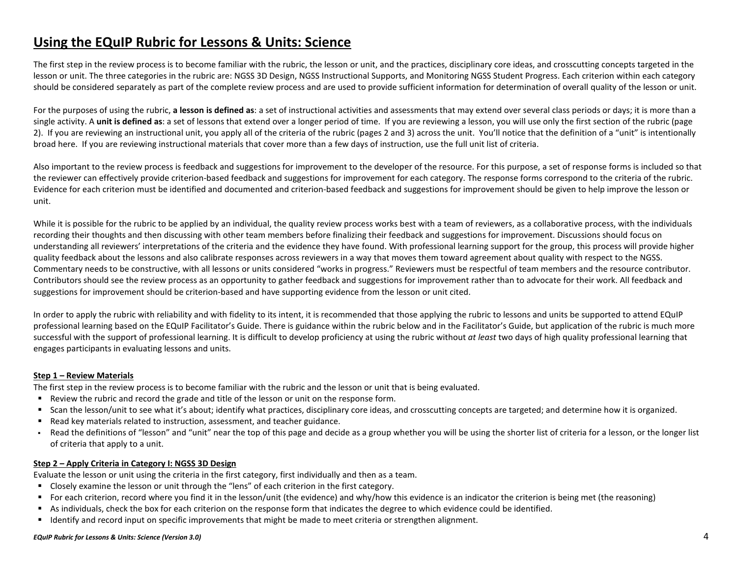# **Using the EQuIP Rubric for Lessons & Units: Science**

The first step in the review process is to become familiar with the rubric, the lesson or unit, and the practices, disciplinary core ideas, and crosscutting concepts targeted in the lesson or unit. The three categories in the rubric are: NGSS 3D Design, NGSS Instructional Supports, and Monitoring NGSS Student Progress. Each criterion within each category should be considered separately as part of the complete review process and are used to provide sufficient information for determination of overall quality of the lesson or unit.

For the purposes of using the rubric, **a lesson is defined as**: a set of instructional activities and assessments that may extend over several class periods or days; it is more than a single activity. A unit is defined as: a set of lessons that extend over a longer period of time. If you are reviewing a lesson, you will use only the first section of the rubric (page 2). If you are reviewing an instructional unit, you apply all of the criteria of the rubric (pages 2 and 3) across the unit. You'll notice that the definition of a "unit" is intentionally broad here. If you are reviewing instructional materials that cover more than a few days of instruction, use the full unit list of criteria.

Also important to the review process is feedback and suggestions for improvement to the developer of the resource. For this purpose, a set of response forms is included so that the reviewer can effectively provide criterion-based feedback and suggestions for improvement for each category. The response forms correspond to the criteria of the rubric. Evidence for each criterion must be identified and documented and criterion-based feedback and suggestions for improvement should be given to help improve the lesson or unit.

While it is possible for the rubric to be applied by an individual, the quality review process works best with a team of reviewers, as a collaborative process, with the individuals recording their thoughts and then discussing with other team members before finalizing their feedback and suggestions for improvement. Discussions should focus on understanding all reviewers' interpretations of the criteria and the evidence they have found. With professional learning support for the group, this process will provide higher quality feedback about the lessons and also calibrate responses across reviewers in a way that moves them toward agreement about quality with respect to the NGSS. Commentary needs to be constructive, with all lessons or units considered "works in progress." Reviewers must be respectful of team members and the resource contributor. Contributors should see the review process as an opportunity to gather feedback and suggestions for improvement rather than to advocate for their work. All feedback and suggestions for improvement should be criterion-based and have supporting evidence from the lesson or unit cited.

In order to apply the rubric with reliability and with fidelity to its intent, it is recommended that those applying the rubric to lessons and units be supported to attend EQuIP professional learning based on the EQuIP Facilitator's Guide. There is guidance within the rubric below and in the Facilitator's Guide, but application of the rubric is much more successful with the support of professional learning. It is difficult to develop proficiency at using the rubric without *at least* two days of high quality professional learning that engages participants in evaluating lessons and units.

#### **Step 1 – Review Materials**

The first step in the review process is to become familiar with the rubric and the lesson or unit that is being evaluated.

- Review the rubric and record the grade and title of the lesson or unit on the response form.
- Scan the lesson/unit to see what it's about; identify what practices, disciplinary core ideas, and crosscutting concepts are targeted; and determine how it is organized.
- Read key materials related to instruction, assessment, and teacher guidance.
- Read the definitions of "lesson" and "unit" near the top of this page and decide as a group whether you will be using the shorter list of criteria for a lesson, or the longer list of criteria that apply to a unit.

#### **Step 2 – Apply Criteria in Category I: NGSS 3D Design**

Evaluate the lesson or unit using the criteria in the first category, first individually and then as a team.

- Closely examine the lesson or unit through the "lens" of each criterion in the first category.
- For each criterion, record where you find it in the lesson/unit (the evidence) and why/how this evidence is an indicator the criterion is being met (the reasoning)
- As individuals, check the box for each criterion on the response form that indicates the degree to which evidence could be identified.
- I dentify and record input on specific improvements that might be made to meet criteria or strengthen alignment.

### *EQuIP Rubric for Lessons & Units: Science (Version 3.0)* 4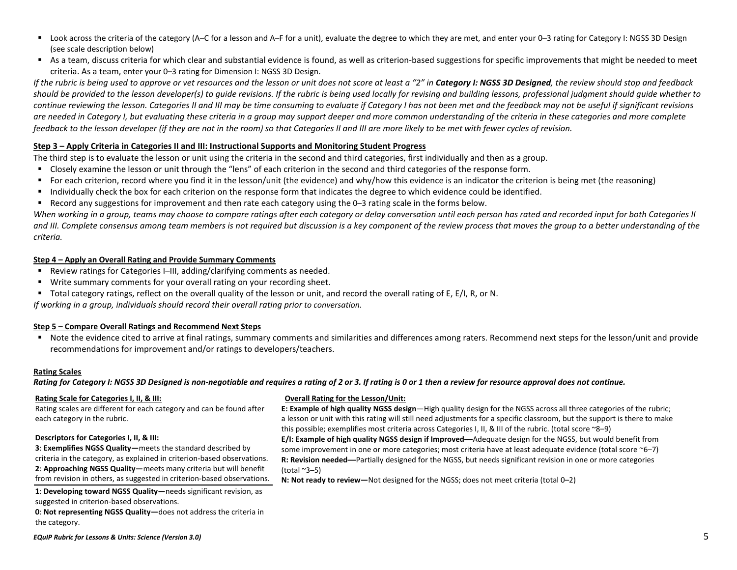- Look across the criteria of the category (A–C for a lesson and A–F for a unit), evaluate the degree to which they are met, and enter your 0–3 rating for Category I: NGSS 3D Design (see scale description below)
- As a team, discuss criteria for which clear and substantial evidence is found, as well as criterion-based suggestions for specific improvements that might be needed to meet criteria. As a team, enter your 0–3 rating for Dimension I: NGSS 3D Design.

If the rubric is being used to approve or vet resources and the lesson or unit does not score at least a "2" in **Category I: NGSS 3D Designed**, the review should stop and feedback *should be provided to the lesson developer(s) to guide revisions. If the rubric is being used locally for revising and building lessons, professional judgment should guide whether to continue reviewing the lesson. Categories II and III may be time consuming to evaluate if Category I has not been met and the feedback may not be useful if significant revisions are needed in Category I, but evaluating these criteria in a group may support deeper and more common understanding of the criteria in these categories and more complete feedback to the lesson developer (if they are not in the room) so that Categories II and III are more likely to be met with fewer cycles of revision.*

#### **Step 3 – Apply Criteria in Categories II and III: Instructional Supports and Monitoring Student Progress**

The third step is to evaluate the lesson or unit using the criteria in the second and third categories, first individually and then as a group.

- Closely examine the lesson or unit through the "lens" of each criterion in the second and third categories of the response form.
- For each criterion, record where you find it in the lesson/unit (the evidence) and why/how this evidence is an indicator the criterion is being met (the reasoning)
- Individually check the box for each criterion on the response form that indicates the degree to which evidence could be identified.
- Record any suggestions for improvement and then rate each category using the 0–3 rating scale in the forms below.

*When working in a group, teams may choose to compare ratings after each category or delay conversation until each person has rated and recorded input for both Categories II*  and III. Complete consensus among team members is not required but discussion is a key component of the review process that moves the group to a better understanding of the *criteria.*

#### **Step 4 – Apply an Overall Rating and Provide Summary Comments**

- Review ratings for Categories I–III, adding/clarifying comments as needed.
- Write summary comments for your overall rating on your recording sheet.
- Total category ratings, reflect on the overall quality of the lesson or unit, and record the overall rating of E, E/I, R, or N.

*If working in a group, individuals should record their overall rating prior to conversation.*

#### **Step 5 – Compare Overall Ratings and Recommend Next Steps**

■ Note the evidence cited to arrive at final ratings, summary comments and similarities and differences among raters. Recommend next steps for the lesson/unit and provide recommendations for improvement and/or ratings to developers/teachers.

#### **Rating Scales**

*Rating for Category I: NGSS 3D Designed is non-negotiable and requires a rating of 2 or 3. If rating is 0 or 1 then a review for resource approval does not continue.* 

#### **Rating Scale for Categories I, II, & III:**

Rating scales are different for each category and can be found after each category in the rubric.

#### **Descriptors for Categories I, II, & III:**

**3**: **Exemplifies NGSS Quality—**meets the standard described by criteria in the category, as explained in criterion-based observations. **2**: **Approaching NGSS Quality—**meets many criteria but will benefit from revision in others, as suggested in criterion-based observations.

**1**: **Developing toward NGSS Quality—**needs significant revision, as suggested in criterion-based observations.

**0**: **Not representing NGSS Quality—**does not address the criteria in the category.

#### **Overall Rating for the Lesson/Unit:**

**E: Example of high quality NGSS design**—High quality design for the NGSS across all three categories of the rubric; a lesson or unit with this rating will still need adjustments for a specific classroom, but the support is there to make this possible; exemplifies most criteria across Categories I, II, & III of the rubric. (total score ~8–9) **E/I: Example of high quality NGSS design if Improved—**Adequate design for the NGSS, but would benefit from some improvement in one or more categories; most criteria have at least adequate evidence (total score ~6–7) **R: Revision needed—**Partially designed for the NGSS, but needs significant revision in one or more categories (total  $~2$ –5)

**N: Not ready to review—**Not designed for the NGSS; does not meet criteria (total 0–2)

*EQuIP Rubric for Lessons & Units: Science (Version 3.0)* 5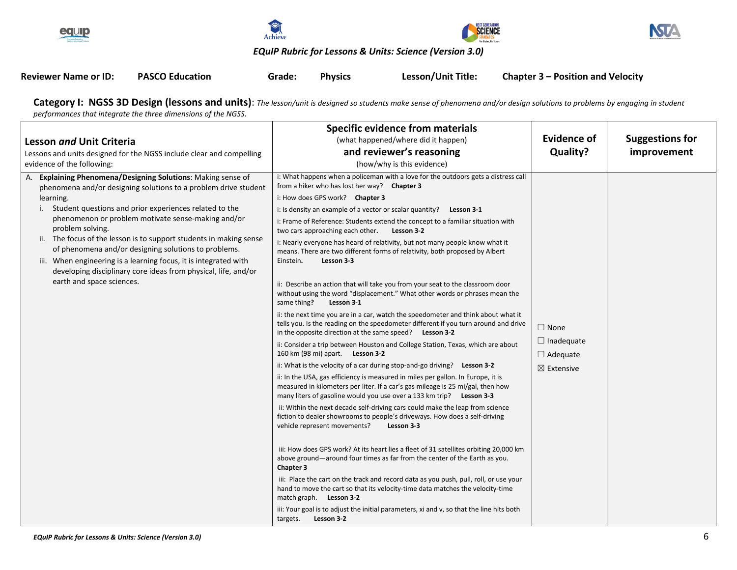







### *EQuIP Rubric for Lessons & Units: Science (Version 3.0)*

| <b>Reviewer Name or ID:</b> | <b>PASCO Education</b> | Grade: | <b>Physics</b> | Lesson/Unit Title: | <b>Chapter 3 – Position and Velocity</b> |
|-----------------------------|------------------------|--------|----------------|--------------------|------------------------------------------|
|                             |                        |        |                |                    |                                          |

**Category I: NGSS 3D Design (lessons and units)**: *The lesson/unit is designed so students make sense of phenomena and/or design solutions to problems by engaging in student performances that integrate the three dimensions of the NGSS*.

| <b>Lesson and Unit Criteria</b><br>Lessons and units designed for the NGSS include clear and compelling<br>evidence of the following:                                                                                                                                                                                                                                                                                                                                                                                                                                                | <b>Specific evidence from materials</b><br>(what happened/where did it happen)<br>and reviewer's reasoning<br>(how/why is this evidence)                                                                                                                                                                                                                                                                                                                                                                                                                                                                                                                                                                                                                                                                                                                                                                                                                                                                                                                                                                                                                                                                                                                                                                                                                                                                                                                                                                                                                                                                                                                                                                                                                                                                                                                                                                                                                                                                                                                                                                                                                                                        | <b>Evidence of</b><br>Quality?                                               | <b>Suggestions for</b><br>improvement |
|--------------------------------------------------------------------------------------------------------------------------------------------------------------------------------------------------------------------------------------------------------------------------------------------------------------------------------------------------------------------------------------------------------------------------------------------------------------------------------------------------------------------------------------------------------------------------------------|-------------------------------------------------------------------------------------------------------------------------------------------------------------------------------------------------------------------------------------------------------------------------------------------------------------------------------------------------------------------------------------------------------------------------------------------------------------------------------------------------------------------------------------------------------------------------------------------------------------------------------------------------------------------------------------------------------------------------------------------------------------------------------------------------------------------------------------------------------------------------------------------------------------------------------------------------------------------------------------------------------------------------------------------------------------------------------------------------------------------------------------------------------------------------------------------------------------------------------------------------------------------------------------------------------------------------------------------------------------------------------------------------------------------------------------------------------------------------------------------------------------------------------------------------------------------------------------------------------------------------------------------------------------------------------------------------------------------------------------------------------------------------------------------------------------------------------------------------------------------------------------------------------------------------------------------------------------------------------------------------------------------------------------------------------------------------------------------------------------------------------------------------------------------------------------------------|------------------------------------------------------------------------------|---------------------------------------|
| A. Explaining Phenomena/Designing Solutions: Making sense of<br>phenomena and/or designing solutions to a problem drive student<br>learning.<br>i. Student questions and prior experiences related to the<br>phenomenon or problem motivate sense-making and/or<br>problem solving.<br>ii. The focus of the lesson is to support students in making sense<br>of phenomena and/or designing solutions to problems.<br>iii. When engineering is a learning focus, it is integrated with<br>developing disciplinary core ideas from physical, life, and/or<br>earth and space sciences. | i: What happens when a policeman with a love for the outdoors gets a distress call<br>from a hiker who has lost her way? Chapter 3<br>i: How does GPS work? Chapter 3<br>i: Is density an example of a vector or scalar quantity? Lesson 3-1<br>i: Frame of Reference: Students extend the concept to a familiar situation with<br>two cars approaching each other.<br>Lesson 3-2<br>i: Nearly everyone has heard of relativity, but not many people know what it<br>means. There are two different forms of relativity, both proposed by Albert<br>Einstein.<br>Lesson 3-3<br>ii: Describe an action that will take you from your seat to the classroom door<br>without using the word "displacement." What other words or phrases mean the<br>same thing?<br>Lesson 3-1<br>ii: the next time you are in a car, watch the speedometer and think about what it<br>tells you. Is the reading on the speedometer different if you turn around and drive<br>in the opposite direction at the same speed? Lesson 3-2<br>ii: Consider a trip between Houston and College Station, Texas, which are about<br>160 km (98 mi) apart. Lesson 3-2<br>ii: What is the velocity of a car during stop-and-go driving? Lesson 3-2<br>ii: In the USA, gas efficiency is measured in miles per gallon. In Europe, it is<br>measured in kilometers per liter. If a car's gas mileage is 25 mi/gal, then how<br>many liters of gasoline would you use over a 133 km trip? Lesson 3-3<br>ii: Within the next decade self-driving cars could make the leap from science<br>fiction to dealer showrooms to people's driveways. How does a self-driving<br>vehicle represent movements?<br>Lesson 3-3<br>iii: How does GPS work? At its heart lies a fleet of 31 satellites orbiting 20,000 km<br>above ground—around four times as far from the center of the Earth as you.<br>Chapter 3<br>iii: Place the cart on the track and record data as you push, pull, roll, or use your<br>hand to move the cart so that its velocity-time data matches the velocity-time<br>match graph. Lesson 3-2<br>iii: Your goal is to adjust the initial parameters, xi and v, so that the line hits both<br>targets.<br>Lesson 3-2 | $\Box$ None<br>$\Box$ Inadequate<br>$\Box$ Adequate<br>$\boxtimes$ Extensive |                                       |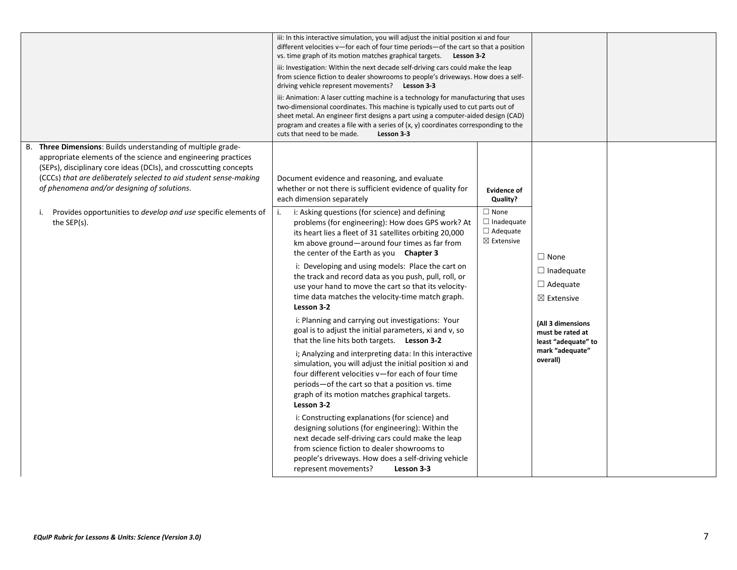|                                                                                                                                                                                                                                                                                                                                                                                                   | iii: In this interactive simulation, you will adjust the initial position xi and four<br>different velocities v—for each of four time periods—of the cart so that a position<br>vs. time graph of its motion matches graphical targets.<br>Lesson 3-2<br>iii: Investigation: Within the next decade self-driving cars could make the leap<br>from science fiction to dealer showrooms to people's driveways. How does a self-<br>driving vehicle represent movements? Lesson 3-3<br>iii: Animation: A laser cutting machine is a technology for manufacturing that uses<br>two-dimensional coordinates. This machine is typically used to cut parts out of<br>sheet metal. An engineer first designs a part using a computer-aided design (CAD)<br>program and creates a file with a series of $(x, y)$ coordinates corresponding to the<br>cuts that need to be made.<br>Lesson 3-3 |                                                               |                                                                                             |  |
|---------------------------------------------------------------------------------------------------------------------------------------------------------------------------------------------------------------------------------------------------------------------------------------------------------------------------------------------------------------------------------------------------|--------------------------------------------------------------------------------------------------------------------------------------------------------------------------------------------------------------------------------------------------------------------------------------------------------------------------------------------------------------------------------------------------------------------------------------------------------------------------------------------------------------------------------------------------------------------------------------------------------------------------------------------------------------------------------------------------------------------------------------------------------------------------------------------------------------------------------------------------------------------------------------|---------------------------------------------------------------|---------------------------------------------------------------------------------------------|--|
| Three Dimensions: Builds understanding of multiple grade-<br>В.<br>appropriate elements of the science and engineering practices<br>(SEPs), disciplinary core ideas (DCIs), and crosscutting concepts<br>(CCCs) that are deliberately selected to aid student sense-making<br>of phenomena and/or designing of solutions.<br>Provides opportunities to develop and use specific elements of<br>i. | Document evidence and reasoning, and evaluate<br>whether or not there is sufficient evidence of quality for<br>each dimension separately<br>i: Asking questions (for science) and defining<br>j.                                                                                                                                                                                                                                                                                                                                                                                                                                                                                                                                                                                                                                                                                     | <b>Evidence of</b><br>Quality?<br>$\Box$ None                 |                                                                                             |  |
| the $SEP(s)$ .                                                                                                                                                                                                                                                                                                                                                                                    | problems (for engineering): How does GPS work? At<br>its heart lies a fleet of 31 satellites orbiting 20,000<br>km above ground-around four times as far from<br>the center of the Earth as you Chapter 3<br>i: Developing and using models: Place the cart on<br>the track and record data as you push, pull, roll, or<br>use your hand to move the cart so that its velocity-<br>time data matches the velocity-time match graph.<br>Lesson 3-2                                                                                                                                                                                                                                                                                                                                                                                                                                    | $\Box$ Inadequate<br>$\Box$ Adequate<br>$\boxtimes$ Extensive | $\Box$ None<br>$\Box$ Inadequate<br>$\Box$ Adequate<br>$\boxtimes$ Extensive                |  |
|                                                                                                                                                                                                                                                                                                                                                                                                   | i: Planning and carrying out investigations: Your<br>goal is to adjust the initial parameters, xi and v, so<br>that the line hits both targets. Lesson 3-2<br>i; Analyzing and interpreting data: In this interactive<br>simulation, you will adjust the initial position xi and<br>four different velocities v-for each of four time<br>periods-of the cart so that a position vs. time<br>graph of its motion matches graphical targets.<br>Lesson 3-2                                                                                                                                                                                                                                                                                                                                                                                                                             |                                                               | (All 3 dimensions<br>must be rated at<br>least "adequate" to<br>mark "adequate"<br>overall) |  |
|                                                                                                                                                                                                                                                                                                                                                                                                   | i: Constructing explanations (for science) and<br>designing solutions (for engineering): Within the<br>next decade self-driving cars could make the leap<br>from science fiction to dealer showrooms to<br>people's driveways. How does a self-driving vehicle<br>represent movements?<br>Lesson 3-3                                                                                                                                                                                                                                                                                                                                                                                                                                                                                                                                                                                 |                                                               |                                                                                             |  |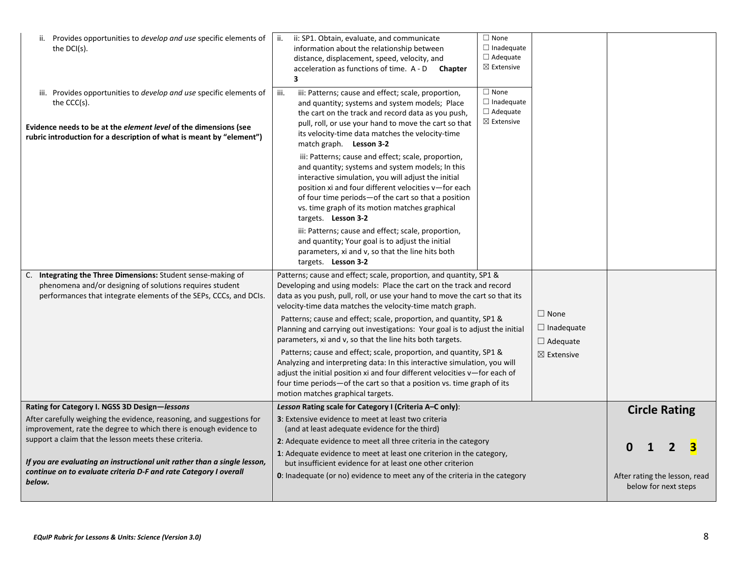| ii. Provides opportunities to develop and use specific elements of<br>the $DCI(s)$ .                                                                                                                                                         | ii: SP1. Obtain, evaluate, and communicate<br>ii.<br>information about the relationship between<br>distance, displacement, speed, velocity, and<br>acceleration as functions of time. A - D Chapter<br>$\overline{\mathbf{3}}$                                                                                                                                                                                                                                                                                                                                                                                                                                                                                                                                                                                                                           | $\Box$ None<br>$\Box$ Inadequate<br>$\Box$ Adequate<br>$\boxtimes$ Extensive |                                                                              |                               |                      |  |
|----------------------------------------------------------------------------------------------------------------------------------------------------------------------------------------------------------------------------------------------|----------------------------------------------------------------------------------------------------------------------------------------------------------------------------------------------------------------------------------------------------------------------------------------------------------------------------------------------------------------------------------------------------------------------------------------------------------------------------------------------------------------------------------------------------------------------------------------------------------------------------------------------------------------------------------------------------------------------------------------------------------------------------------------------------------------------------------------------------------|------------------------------------------------------------------------------|------------------------------------------------------------------------------|-------------------------------|----------------------|--|
| iii. Provides opportunities to <i>develop and use</i> specific elements of<br>the CCC(s).<br>Evidence needs to be at the <i>element level</i> of the dimensions (see<br>rubric introduction for a description of what is meant by "element") | iii: Patterns; cause and effect; scale, proportion,<br>iii.<br>and quantity; systems and system models; Place<br>the cart on the track and record data as you push,<br>pull, roll, or use your hand to move the cart so that<br>its velocity-time data matches the velocity-time<br>match graph. Lesson 3-2                                                                                                                                                                                                                                                                                                                                                                                                                                                                                                                                              | $\Box$ None<br>$\Box$ Inadequate<br>$\Box$ Adequate<br>$\boxtimes$ Extensive |                                                                              |                               |                      |  |
|                                                                                                                                                                                                                                              | iii: Patterns; cause and effect; scale, proportion,<br>and quantity; systems and system models; In this<br>interactive simulation, you will adjust the initial<br>position xi and four different velocities v-for each<br>of four time periods-of the cart so that a position<br>vs. time graph of its motion matches graphical<br>targets. Lesson 3-2<br>iii: Patterns; cause and effect; scale, proportion,<br>and quantity; Your goal is to adjust the initial<br>parameters, xi and v, so that the line hits both<br>targets. Lesson 3-2                                                                                                                                                                                                                                                                                                             |                                                                              |                                                                              |                               |                      |  |
| Integrating the Three Dimensions: Student sense-making of<br>C.<br>phenomena and/or designing of solutions requires student<br>performances that integrate elements of the SEPs, CCCs, and DCIs.                                             | Patterns; cause and effect; scale, proportion, and quantity, SP1 &<br>Developing and using models: Place the cart on the track and record<br>data as you push, pull, roll, or use your hand to move the cart so that its<br>velocity-time data matches the velocity-time match graph.<br>Patterns; cause and effect; scale, proportion, and quantity, SP1 &<br>Planning and carrying out investigations: Your goal is to adjust the initial<br>parameters, xi and v, so that the line hits both targets.<br>Patterns; cause and effect; scale, proportion, and quantity, SP1 &<br>Analyzing and interpreting data: In this interactive simulation, you will<br>adjust the initial position xi and four different velocities v-for each of<br>four time periods-of the cart so that a position vs. time graph of its<br>motion matches graphical targets. |                                                                              | $\Box$ None<br>$\Box$ Inadequate<br>$\Box$ Adequate<br>$\boxtimes$ Extensive |                               |                      |  |
| Rating for Category I. NGSS 3D Design-lessons                                                                                                                                                                                                | Lesson Rating scale for Category I (Criteria A–C only):                                                                                                                                                                                                                                                                                                                                                                                                                                                                                                                                                                                                                                                                                                                                                                                                  |                                                                              |                                                                              |                               | <b>Circle Rating</b> |  |
| After carefully weighing the evidence, reasoning, and suggestions for<br>improvement, rate the degree to which there is enough evidence to                                                                                                   | 3: Extensive evidence to meet at least two criteria                                                                                                                                                                                                                                                                                                                                                                                                                                                                                                                                                                                                                                                                                                                                                                                                      |                                                                              |                                                                              |                               |                      |  |
| support a claim that the lesson meets these criteria.                                                                                                                                                                                        | (and at least adequate evidence for the third)<br>2: Adequate evidence to meet all three criteria in the category                                                                                                                                                                                                                                                                                                                                                                                                                                                                                                                                                                                                                                                                                                                                        |                                                                              |                                                                              |                               |                      |  |
|                                                                                                                                                                                                                                              | 1: Adequate evidence to meet at least one criterion in the category,                                                                                                                                                                                                                                                                                                                                                                                                                                                                                                                                                                                                                                                                                                                                                                                     |                                                                              |                                                                              | $\mathbf 0$                   |                      |  |
| If you are evaluating an instructional unit rather than a single lesson,                                                                                                                                                                     | but insufficient evidence for at least one other criterion                                                                                                                                                                                                                                                                                                                                                                                                                                                                                                                                                                                                                                                                                                                                                                                               |                                                                              |                                                                              |                               |                      |  |
| continue on to evaluate criteria D-F and rate Category I overall<br>below.                                                                                                                                                                   | <b>0</b> : Inadequate (or no) evidence to meet any of the criteria in the category                                                                                                                                                                                                                                                                                                                                                                                                                                                                                                                                                                                                                                                                                                                                                                       |                                                                              |                                                                              | After rating the lesson, read | below for next steps |  |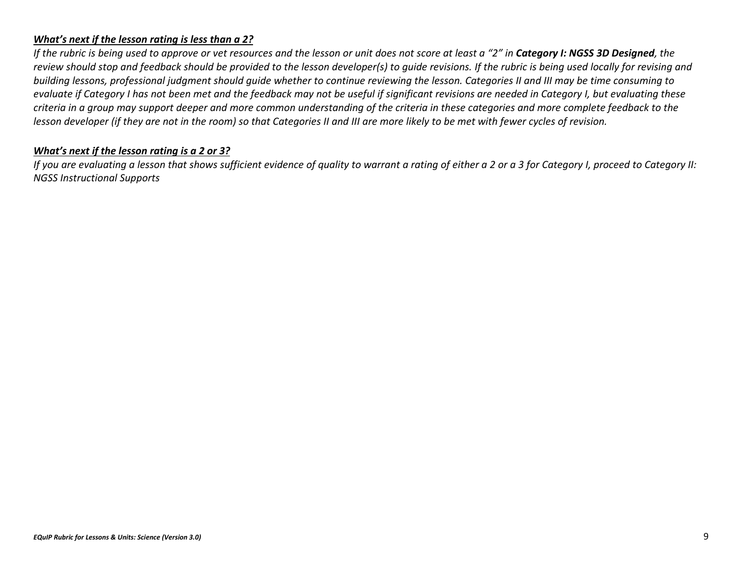### *What's next if the lesson rating is less than a 2?*

*If the rubric is being used to approve or vet resources and the lesson or unit does not score at least a "2" in Category I: NGSS 3D Designed, the review should stop and feedback should be provided to the lesson developer(s) to guide revisions. If the rubric is being used locally for revising and building lessons, professional judgment should guide whether to continue reviewing the lesson. Categories II and III may be time consuming to evaluate if Category I has not been met and the feedback may not be useful if significant revisions are needed in Category I, but evaluating these criteria in a group may support deeper and more common understanding of the criteria in these categories and more complete feedback to the lesson developer (if they are not in the room) so that Categories II and III are more likely to be met with fewer cycles of revision.*

### *What's next if the lesson rating is a 2 or 3?*

*If you are evaluating a lesson that shows sufficient evidence of quality to warrant a rating of either a 2 or a 3 for Category I, proceed to Category II: NGSS Instructional Supports*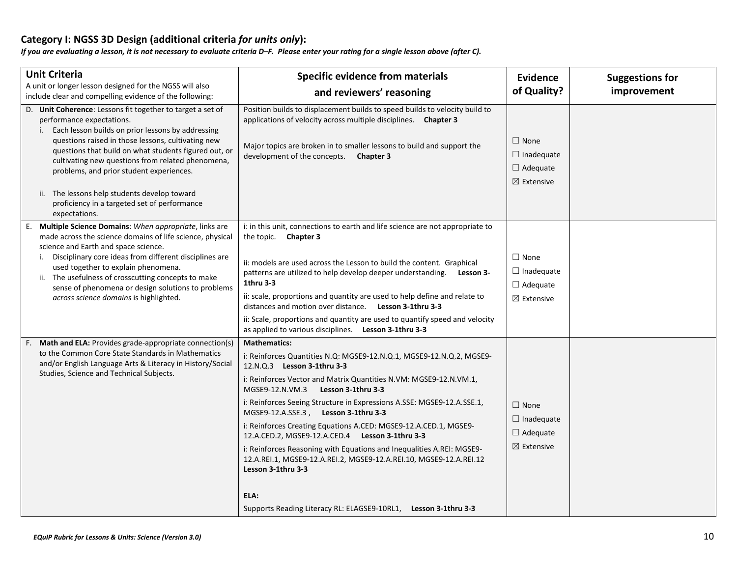## **Category I: NGSS 3D Design (additional criteria** *for units only***):**

*If you are evaluating a lesson, it is not necessary to evaluate criteria D–F. Please enter your rating for a single lesson above (after C).*

| <b>Unit Criteria</b>                                                                                                                                                                                                                                                                                                                                                                                                                                                          | <b>Specific evidence from materials</b>                                                                                                                                                                                                                                                                                                                                                                                                                                                                                                                                                                                                                        | Evidence                                                                        | <b>Suggestions for</b> |
|-------------------------------------------------------------------------------------------------------------------------------------------------------------------------------------------------------------------------------------------------------------------------------------------------------------------------------------------------------------------------------------------------------------------------------------------------------------------------------|----------------------------------------------------------------------------------------------------------------------------------------------------------------------------------------------------------------------------------------------------------------------------------------------------------------------------------------------------------------------------------------------------------------------------------------------------------------------------------------------------------------------------------------------------------------------------------------------------------------------------------------------------------------|---------------------------------------------------------------------------------|------------------------|
| A unit or longer lesson designed for the NGSS will also<br>include clear and compelling evidence of the following:                                                                                                                                                                                                                                                                                                                                                            | and reviewers' reasoning                                                                                                                                                                                                                                                                                                                                                                                                                                                                                                                                                                                                                                       | of Quality?                                                                     | improvement            |
| D. Unit Coherence: Lessons fit together to target a set of<br>performance expectations.<br>Each lesson builds on prior lessons by addressing<br>questions raised in those lessons, cultivating new<br>questions that build on what students figured out, or<br>cultivating new questions from related phenomena,<br>problems, and prior student experiences.<br>ii. The lessons help students develop toward<br>proficiency in a targeted set of performance<br>expectations. | Position builds to displacement builds to speed builds to velocity build to<br>applications of velocity across multiple disciplines. Chapter 3<br>Major topics are broken in to smaller lessons to build and support the<br>development of the concepts. Chapter 3                                                                                                                                                                                                                                                                                                                                                                                             | $\Box$ None<br>$\Box$ Inadequate<br>$\Box$ Adequate<br>$\boxtimes$ Extensive    |                        |
| Multiple Science Domains: When appropriate, links are<br>Ε.<br>made across the science domains of life science, physical<br>science and Earth and space science.<br>i. Disciplinary core ideas from different disciplines are<br>used together to explain phenomena.<br>ii. The usefulness of crosscutting concepts to make<br>sense of phenomena or design solutions to problems<br>across science domains is highlighted.                                                   | i: in this unit, connections to earth and life science are not appropriate to<br>the topic. Chapter 3<br>ii: models are used across the Lesson to build the content. Graphical<br>patterns are utilized to help develop deeper understanding. Lesson 3-<br>1thru 3-3<br>ii: scale, proportions and quantity are used to help define and relate to<br>distances and motion over distance. Lesson 3-1thru 3-3<br>ii: Scale, proportions and quantity are used to quantify speed and velocity<br>as applied to various disciplines. Lesson 3-1thru 3-3                                                                                                            | $\square$ None<br>$\Box$ Inadequate<br>$\Box$ Adequate<br>$\boxtimes$ Extensive |                        |
| Math and ELA: Provides grade-appropriate connection(s)<br>E.<br>to the Common Core State Standards in Mathematics<br>and/or English Language Arts & Literacy in History/Social<br>Studies, Science and Technical Subjects.                                                                                                                                                                                                                                                    | <b>Mathematics:</b><br>i: Reinforces Quantities N.Q: MGSE9-12.N.Q.1, MGSE9-12.N.Q.2, MGSE9-<br>12.N.Q.3 Lesson 3-1thru 3-3<br>i: Reinforces Vector and Matrix Quantities N.VM: MGSE9-12.N.VM.1,<br>MGSE9-12.N.VM.3<br>Lesson 3-1thru 3-3<br>i: Reinforces Seeing Structure in Expressions A.SSE: MGSE9-12.A.SSE.1,<br>MGSE9-12.A.SSE.3, Lesson 3-1thru 3-3<br>i: Reinforces Creating Equations A.CED: MGSE9-12.A.CED.1, MGSE9-<br>12.A.CED.2, MGSE9-12.A.CED.4 Lesson 3-1thru 3-3<br>i: Reinforces Reasoning with Equations and Inequalities A.REI: MGSE9-<br>12.A.REI.1, MGSE9-12.A.REI.2, MGSE9-12.A.REI.10, MGSE9-12.A.REI.12<br>Lesson 3-1thru 3-3<br>ELA: | $\Box$ None<br>$\Box$ Inadequate<br>$\Box$ Adequate<br>$\boxtimes$ Extensive    |                        |
|                                                                                                                                                                                                                                                                                                                                                                                                                                                                               | Supports Reading Literacy RL: ELAGSE9-10RL1, Lesson 3-1thru 3-3                                                                                                                                                                                                                                                                                                                                                                                                                                                                                                                                                                                                |                                                                                 |                        |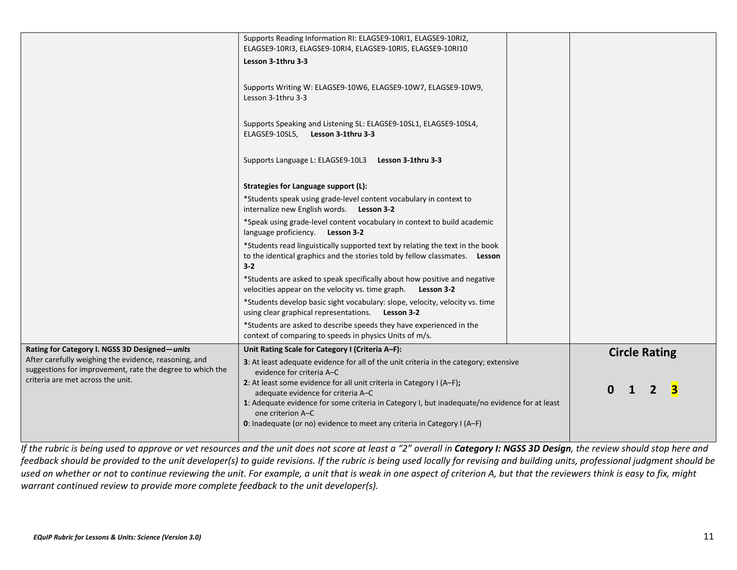| Lesson 3-1thru 3-3<br>Supports Writing W: ELAGSE9-10W6, ELAGSE9-10W7, ELAGSE9-10W9,<br>Lesson 3-1thru 3-3<br>Supports Speaking and Listening SL: ELAGSE9-10SL1, ELAGSE9-10SL4,<br>ELAGSE9-10SL5, Lesson 3-1thru 3-3<br>Supports Language L: ELAGSE9-10L3 Lesson 3-1thru 3-3<br>Strategies for Language support (L): |                                                                                                                                                                                                                                                                                                                                   |
|---------------------------------------------------------------------------------------------------------------------------------------------------------------------------------------------------------------------------------------------------------------------------------------------------------------------|-----------------------------------------------------------------------------------------------------------------------------------------------------------------------------------------------------------------------------------------------------------------------------------------------------------------------------------|
| *Students speak using grade-level content vocabulary in context to<br>internalize new English words. Lesson 3-2                                                                                                                                                                                                     |                                                                                                                                                                                                                                                                                                                                   |
| language proficiency. Lesson 3-2                                                                                                                                                                                                                                                                                    |                                                                                                                                                                                                                                                                                                                                   |
| *Students read linguistically supported text by relating the text in the book<br>to the identical graphics and the stories told by fellow classmates. Lesson<br>$3 - 2$                                                                                                                                             |                                                                                                                                                                                                                                                                                                                                   |
| *Students are asked to speak specifically about how positive and negative<br>velocities appear on the velocity vs. time graph. Lesson 3-2                                                                                                                                                                           |                                                                                                                                                                                                                                                                                                                                   |
| *Students develop basic sight vocabulary: slope, velocity, velocity vs. time<br>using clear graphical representations. Lesson 3-2                                                                                                                                                                                   |                                                                                                                                                                                                                                                                                                                                   |
| *Students are asked to describe speeds they have experienced in the<br>context of comparing to speeds in physics Units of m/s.                                                                                                                                                                                      |                                                                                                                                                                                                                                                                                                                                   |
| Unit Rating Scale for Category I (Criteria A-F):                                                                                                                                                                                                                                                                    | <b>Circle Rating</b>                                                                                                                                                                                                                                                                                                              |
| evidence for criteria A-C<br>2: At least some evidence for all unit criteria in Category I (A-F);<br>adequate evidence for criteria A-C<br>one criterion A-C<br>0: Inadequate (or no) evidence to meet any criteria in Category I (A-F)                                                                             | $\mathbf{0}$<br>$\mathbf{2}$                                                                                                                                                                                                                                                                                                      |
|                                                                                                                                                                                                                                                                                                                     | ELAGSE9-10RI3, ELAGSE9-10RI4, ELAGSE9-10RI5, ELAGSE9-10RI10<br>*Speak using grade-level content vocabulary in context to build academic<br>3: At least adequate evidence for all of the unit criteria in the category; extensive<br>1: Adequate evidence for some criteria in Category I, but inadequate/no evidence for at least |

*If the rubric is being used to approve or vet resources and the unit does not score at least a "2" overall in Category I: NGSS 3D Design, the review should stop here and feedback should be provided to the unit developer(s) to guide revisions. If the rubric is being used locally for revising and building units, professional judgment should be used on whether or not to continue reviewing the unit. For example, a unit that is weak in one aspect of criterion A, but that the reviewers think is easy to fix, might warrant continued review to provide more complete feedback to the unit developer(s).*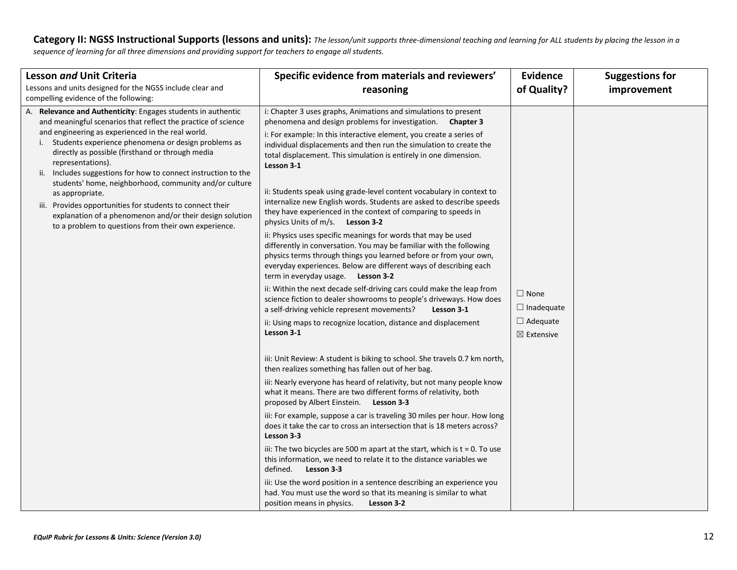Category II: NGSS Instructional Supports (lessons and units): The lesson/unit supports three-dimensional teaching and learning for ALL students by placing the lesson in a *sequence of learning for all three dimensions and providing support for teachers to engage all students.*

| Lesson and Unit Criteria                                                                                                                                                                                                                                                                                                                                                             | Specific evidence from materials and reviewers'                                                                                                                                                                                                                                                                                                               | <b>Evidence</b>                          | <b>Suggestions for</b> |
|--------------------------------------------------------------------------------------------------------------------------------------------------------------------------------------------------------------------------------------------------------------------------------------------------------------------------------------------------------------------------------------|---------------------------------------------------------------------------------------------------------------------------------------------------------------------------------------------------------------------------------------------------------------------------------------------------------------------------------------------------------------|------------------------------------------|------------------------|
| Lessons and units designed for the NGSS include clear and<br>compelling evidence of the following:                                                                                                                                                                                                                                                                                   | reasoning                                                                                                                                                                                                                                                                                                                                                     | of Quality?                              | improvement            |
| A. Relevance and Authenticity: Engages students in authentic<br>and meaningful scenarios that reflect the practice of science<br>and engineering as experienced in the real world.<br>Students experience phenomena or design problems as<br>directly as possible (firsthand or through media<br>representations).<br>ii. Includes suggestions for how to connect instruction to the | i: Chapter 3 uses graphs, Animations and simulations to present<br>phenomena and design problems for investigation. Chapter 3<br>i: For example: In this interactive element, you create a series of<br>individual displacements and then run the simulation to create the<br>total displacement. This simulation is entirely in one dimension.<br>Lesson 3-1 |                                          |                        |
| students' home, neighborhood, community and/or culture<br>as appropriate.<br>iii. Provides opportunities for students to connect their<br>explanation of a phenomenon and/or their design solution<br>to a problem to questions from their own experience.                                                                                                                           | ii: Students speak using grade-level content vocabulary in context to<br>internalize new English words. Students are asked to describe speeds<br>they have experienced in the context of comparing to speeds in<br>physics Units of m/s. Lesson 3-2                                                                                                           |                                          |                        |
|                                                                                                                                                                                                                                                                                                                                                                                      | ii: Physics uses specific meanings for words that may be used<br>differently in conversation. You may be familiar with the following<br>physics terms through things you learned before or from your own,<br>everyday experiences. Below are different ways of describing each<br>term in everyday usage. Lesson 3-2                                          |                                          |                        |
|                                                                                                                                                                                                                                                                                                                                                                                      | ii: Within the next decade self-driving cars could make the leap from<br>science fiction to dealer showrooms to people's driveways. How does<br>a self-driving vehicle represent movements?<br>Lesson 3-1                                                                                                                                                     | $\Box$ None<br>$\Box$ Inadequate         |                        |
|                                                                                                                                                                                                                                                                                                                                                                                      | ii: Using maps to recognize location, distance and displacement<br>Lesson 3-1                                                                                                                                                                                                                                                                                 | $\Box$ Adequate<br>$\boxtimes$ Extensive |                        |
|                                                                                                                                                                                                                                                                                                                                                                                      | iii: Unit Review: A student is biking to school. She travels 0.7 km north,<br>then realizes something has fallen out of her bag.                                                                                                                                                                                                                              |                                          |                        |
|                                                                                                                                                                                                                                                                                                                                                                                      | iii: Nearly everyone has heard of relativity, but not many people know<br>what it means. There are two different forms of relativity, both<br>proposed by Albert Einstein. Lesson 3-3                                                                                                                                                                         |                                          |                        |
|                                                                                                                                                                                                                                                                                                                                                                                      | iii: For example, suppose a car is traveling 30 miles per hour. How long<br>does it take the car to cross an intersection that is 18 meters across?<br>Lesson 3-3                                                                                                                                                                                             |                                          |                        |
|                                                                                                                                                                                                                                                                                                                                                                                      | iii: The two bicycles are 500 m apart at the start, which is $t = 0$ . To use<br>this information, we need to relate it to the distance variables we<br>Lesson 3-3<br>defined.                                                                                                                                                                                |                                          |                        |
|                                                                                                                                                                                                                                                                                                                                                                                      | iii: Use the word position in a sentence describing an experience you<br>had. You must use the word so that its meaning is similar to what<br>position means in physics.<br>Lesson 3-2                                                                                                                                                                        |                                          |                        |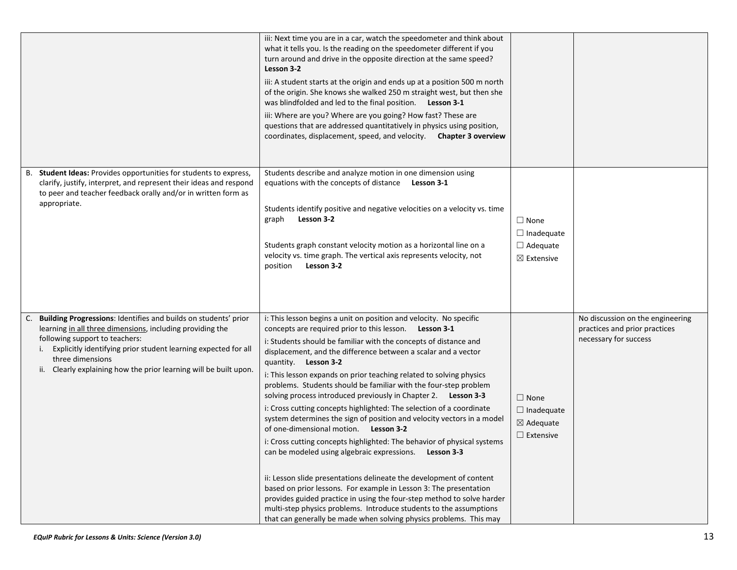|                                                                                                                                                                                                                                                                                                                                    | iii: Next time you are in a car, watch the speedometer and think about<br>what it tells you. Is the reading on the speedometer different if you<br>turn around and drive in the opposite direction at the same speed?<br>Lesson 3-2<br>iii: A student starts at the origin and ends up at a position 500 m north<br>of the origin. She knows she walked 250 m straight west, but then she<br>was blindfolded and led to the final position. Lesson 3-1<br>iii: Where are you? Where are you going? How fast? These are<br>questions that are addressed quantitatively in physics using position,<br>coordinates, displacement, speed, and velocity. Chapter 3 overview                                                                                                                                                                                                                                                                                                                                                                                                                                                                                                                                          |                                                                              |                                                                                            |
|------------------------------------------------------------------------------------------------------------------------------------------------------------------------------------------------------------------------------------------------------------------------------------------------------------------------------------|-----------------------------------------------------------------------------------------------------------------------------------------------------------------------------------------------------------------------------------------------------------------------------------------------------------------------------------------------------------------------------------------------------------------------------------------------------------------------------------------------------------------------------------------------------------------------------------------------------------------------------------------------------------------------------------------------------------------------------------------------------------------------------------------------------------------------------------------------------------------------------------------------------------------------------------------------------------------------------------------------------------------------------------------------------------------------------------------------------------------------------------------------------------------------------------------------------------------|------------------------------------------------------------------------------|--------------------------------------------------------------------------------------------|
| B. Student Ideas: Provides opportunities for students to express,<br>clarify, justify, interpret, and represent their ideas and respond<br>to peer and teacher feedback orally and/or in written form as<br>appropriate.                                                                                                           | Students describe and analyze motion in one dimension using<br>equations with the concepts of distance<br>Lesson 3-1<br>Students identify positive and negative velocities on a velocity vs. time<br>Lesson 3-2<br>graph<br>Students graph constant velocity motion as a horizontal line on a<br>velocity vs. time graph. The vertical axis represents velocity, not<br>Lesson 3-2<br>position                                                                                                                                                                                                                                                                                                                                                                                                                                                                                                                                                                                                                                                                                                                                                                                                                  | $\Box$ None<br>$\Box$ Inadequate<br>$\Box$ Adequate<br>$\boxtimes$ Extensive |                                                                                            |
| Building Progressions: Identifies and builds on students' prior<br>learning in all three dimensions, including providing the<br>following support to teachers:<br>Explicitly identifying prior student learning expected for all<br>i.<br>three dimensions<br>Clearly explaining how the prior learning will be built upon.<br>ii. | i: This lesson begins a unit on position and velocity. No specific<br>concepts are required prior to this lesson.<br>Lesson 3-1<br>i: Students should be familiar with the concepts of distance and<br>displacement, and the difference between a scalar and a vector<br>quantity. Lesson 3-2<br>i: This lesson expands on prior teaching related to solving physics<br>problems. Students should be familiar with the four-step problem<br>solving process introduced previously in Chapter 2. Lesson 3-3<br>i: Cross cutting concepts highlighted: The selection of a coordinate<br>system determines the sign of position and velocity vectors in a model<br>of one-dimensional motion. Lesson 3-2<br>i: Cross cutting concepts highlighted: The behavior of physical systems<br>can be modeled using algebraic expressions.<br>Lesson 3-3<br>ii: Lesson slide presentations delineate the development of content<br>based on prior lessons. For example in Lesson 3: The presentation<br>provides guided practice in using the four-step method to solve harder<br>multi-step physics problems. Introduce students to the assumptions<br>that can generally be made when solving physics problems. This may | $\Box$ None<br>$\Box$ Inadequate<br>$\boxtimes$ Adequate<br>$\Box$ Extensive | No discussion on the engineering<br>practices and prior practices<br>necessary for success |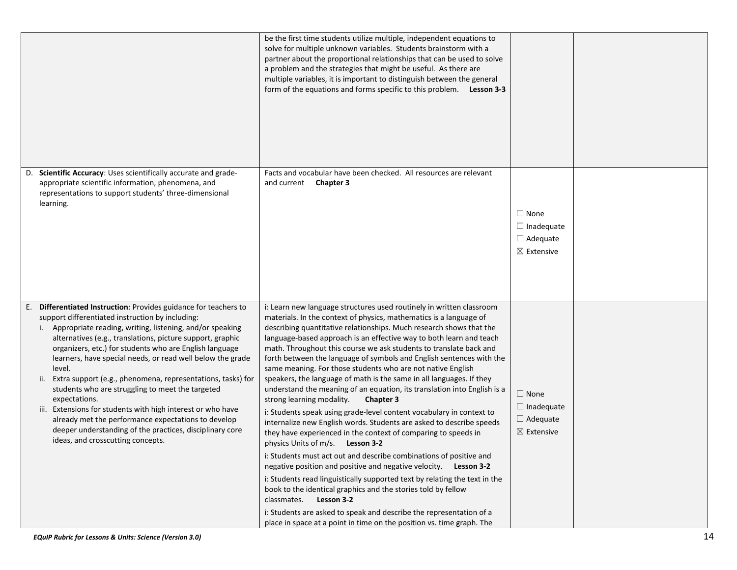|                                                                                                                                                                                                                                                                                                                                                                                                                                                                                                                                                                                                                                                                                                                                                     | be the first time students utilize multiple, independent equations to<br>solve for multiple unknown variables. Students brainstorm with a<br>partner about the proportional relationships that can be used to solve<br>a problem and the strategies that might be useful. As there are<br>multiple variables, it is important to distinguish between the general<br>form of the equations and forms specific to this problem.<br>Lesson 3-3                                                                                                                                                                                                                                                                                                                                                                                                                                                                                                                                                                                                                                                                                                                                                                                                                                                                                                                                                                                            |                                                                              |  |
|-----------------------------------------------------------------------------------------------------------------------------------------------------------------------------------------------------------------------------------------------------------------------------------------------------------------------------------------------------------------------------------------------------------------------------------------------------------------------------------------------------------------------------------------------------------------------------------------------------------------------------------------------------------------------------------------------------------------------------------------------------|----------------------------------------------------------------------------------------------------------------------------------------------------------------------------------------------------------------------------------------------------------------------------------------------------------------------------------------------------------------------------------------------------------------------------------------------------------------------------------------------------------------------------------------------------------------------------------------------------------------------------------------------------------------------------------------------------------------------------------------------------------------------------------------------------------------------------------------------------------------------------------------------------------------------------------------------------------------------------------------------------------------------------------------------------------------------------------------------------------------------------------------------------------------------------------------------------------------------------------------------------------------------------------------------------------------------------------------------------------------------------------------------------------------------------------------|------------------------------------------------------------------------------|--|
| Scientific Accuracy: Uses scientifically accurate and grade-<br>D.<br>appropriate scientific information, phenomena, and<br>representations to support students' three-dimensional<br>learning.                                                                                                                                                                                                                                                                                                                                                                                                                                                                                                                                                     | Facts and vocabular have been checked. All resources are relevant<br>and current <b>Chapter 3</b>                                                                                                                                                                                                                                                                                                                                                                                                                                                                                                                                                                                                                                                                                                                                                                                                                                                                                                                                                                                                                                                                                                                                                                                                                                                                                                                                      | $\Box$ None<br>$\Box$ Inadequate<br>$\Box$ Adequate<br>$\boxtimes$ Extensive |  |
| Differentiated Instruction: Provides guidance for teachers to<br>support differentiated instruction by including:<br>i. Appropriate reading, writing, listening, and/or speaking<br>alternatives (e.g., translations, picture support, graphic<br>organizers, etc.) for students who are English language<br>learners, have special needs, or read well below the grade<br>level.<br>Extra support (e.g., phenomena, representations, tasks) for<br>ii.<br>students who are struggling to meet the targeted<br>expectations.<br>iii. Extensions for students with high interest or who have<br>already met the performance expectations to develop<br>deeper understanding of the practices, disciplinary core<br>ideas, and crosscutting concepts. | i: Learn new language structures used routinely in written classroom<br>materials. In the context of physics, mathematics is a language of<br>describing quantitative relationships. Much research shows that the<br>language-based approach is an effective way to both learn and teach<br>math. Throughout this course we ask students to translate back and<br>forth between the language of symbols and English sentences with the<br>same meaning. For those students who are not native English<br>speakers, the language of math is the same in all languages. If they<br>understand the meaning of an equation, its translation into English is a<br>strong learning modality.<br><b>Chapter 3</b><br>i: Students speak using grade-level content vocabulary in context to<br>internalize new English words. Students are asked to describe speeds<br>they have experienced in the context of comparing to speeds in<br>physics Units of m/s. Lesson 3-2<br>i: Students must act out and describe combinations of positive and<br>negative position and positive and negative velocity. Lesson 3-2<br>i: Students read linguistically supported text by relating the text in the<br>book to the identical graphics and the stories told by fellow<br>Lesson 3-2<br>classmates.<br>i: Students are asked to speak and describe the representation of a<br>place in space at a point in time on the position vs. time graph. The | $\Box$ None<br>$\Box$ Inadequate<br>$\Box$ Adequate<br>$\boxtimes$ Extensive |  |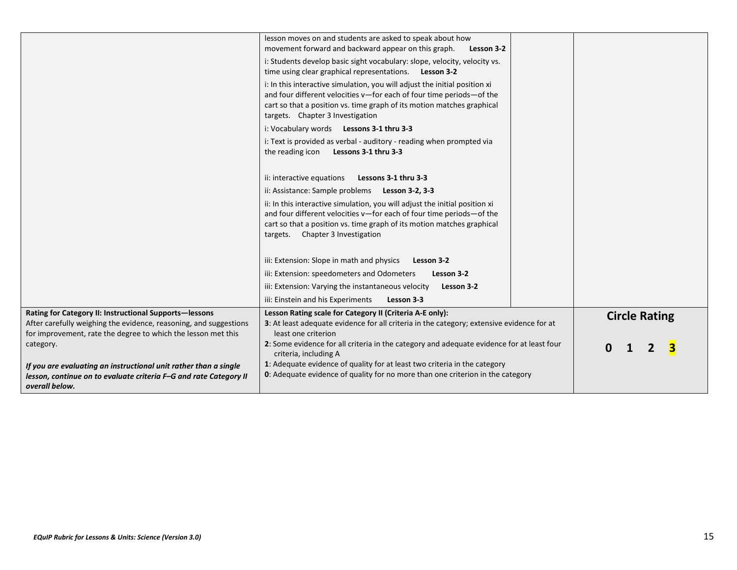|                                                                                                                                                                                              | lesson moves on and students are asked to speak about how<br>movement forward and backward appear on this graph.<br>Lesson 3-2                                                                                                                                    |                      |
|----------------------------------------------------------------------------------------------------------------------------------------------------------------------------------------------|-------------------------------------------------------------------------------------------------------------------------------------------------------------------------------------------------------------------------------------------------------------------|----------------------|
|                                                                                                                                                                                              | i: Students develop basic sight vocabulary: slope, velocity, velocity vs.<br>time using clear graphical representations. Lesson 3-2                                                                                                                               |                      |
|                                                                                                                                                                                              | i: In this interactive simulation, you will adjust the initial position xi<br>and four different velocities v-for each of four time periods-of the<br>cart so that a position vs. time graph of its motion matches graphical<br>targets. Chapter 3 Investigation  |                      |
|                                                                                                                                                                                              | i: Vocabulary words Lessons 3-1 thru 3-3                                                                                                                                                                                                                          |                      |
|                                                                                                                                                                                              | i: Text is provided as verbal - auditory - reading when prompted via<br>the reading icon Lessons 3-1 thru 3-3                                                                                                                                                     |                      |
|                                                                                                                                                                                              | ii: interactive equations<br>Lessons 3-1 thru 3-3                                                                                                                                                                                                                 |                      |
|                                                                                                                                                                                              | ii: Assistance: Sample problems<br>Lesson 3-2, 3-3                                                                                                                                                                                                                |                      |
|                                                                                                                                                                                              | ii: In this interactive simulation, you will adjust the initial position xi<br>and four different velocities v-for each of four time periods-of the<br>cart so that a position vs. time graph of its motion matches graphical<br>targets. Chapter 3 Investigation |                      |
|                                                                                                                                                                                              | iii: Extension: Slope in math and physics<br>Lesson 3-2                                                                                                                                                                                                           |                      |
|                                                                                                                                                                                              | iii: Extension: speedometers and Odometers<br>Lesson 3-2                                                                                                                                                                                                          |                      |
|                                                                                                                                                                                              | iii: Extension: Varying the instantaneous velocity<br>Lesson 3-2                                                                                                                                                                                                  |                      |
|                                                                                                                                                                                              | iii: Einstein and his Experiments<br>Lesson 3-3                                                                                                                                                                                                                   |                      |
| Rating for Category II: Instructional Supports-lessons<br>After carefully weighing the evidence, reasoning, and suggestions<br>for improvement, rate the degree to which the lesson met this | Lesson Rating scale for Category II (Criteria A-E only):<br>3: At least adequate evidence for all criteria in the category; extensive evidence for at<br>least one criterion                                                                                      | <b>Circle Rating</b> |
| category.                                                                                                                                                                                    | 2: Some evidence for all criteria in the category and adequate evidence for at least four<br>criteria, including A                                                                                                                                                |                      |
| If you are evaluating an instructional unit rather than a single                                                                                                                             | 1: Adequate evidence of quality for at least two criteria in the category                                                                                                                                                                                         |                      |
| lesson, continue on to evaluate criteria F-G and rate Category II<br>overall below.                                                                                                          | <b>0</b> : Adequate evidence of quality for no more than one criterion in the category                                                                                                                                                                            |                      |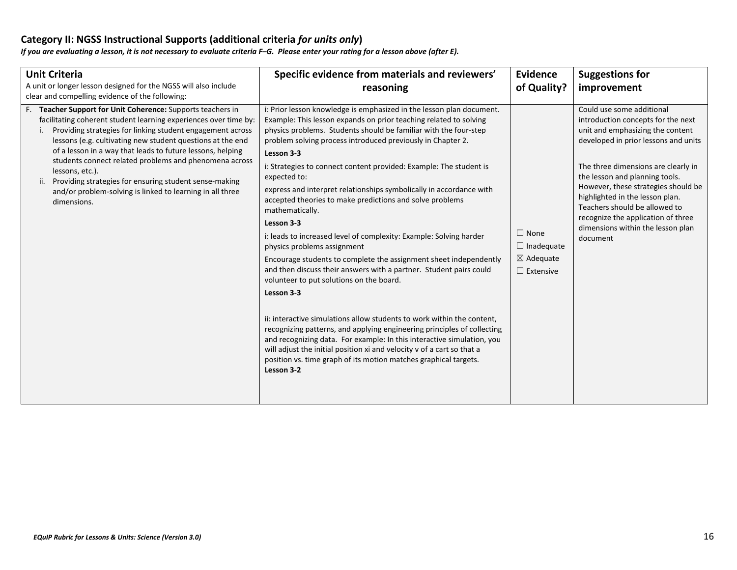### **Category II: NGSS Instructional Supports (additional criteria** *for units only***)**

*If you are evaluating a lesson, it is not necessary to evaluate criteria F–G. Please enter your rating for a lesson above (after E).*

| <b>Unit Criteria</b><br>A unit or longer lesson designed for the NGSS will also include<br>clear and compelling evidence of the following:                                                                                                                                                                                                                                                                                                                                                                                                   | Specific evidence from materials and reviewers'<br>reasoning                                                                                                                                                                                                                                                                                                                                                                                                                                                                                                                                                                                                                                                                                                                                                                                                                                                                                                                                                                                                                                                                                                                                                                                              | <b>Evidence</b><br>of Quality?                                               | <b>Suggestions for</b><br>improvement                                                                                                                                                                                                                                                                                                                                                                                  |
|----------------------------------------------------------------------------------------------------------------------------------------------------------------------------------------------------------------------------------------------------------------------------------------------------------------------------------------------------------------------------------------------------------------------------------------------------------------------------------------------------------------------------------------------|-----------------------------------------------------------------------------------------------------------------------------------------------------------------------------------------------------------------------------------------------------------------------------------------------------------------------------------------------------------------------------------------------------------------------------------------------------------------------------------------------------------------------------------------------------------------------------------------------------------------------------------------------------------------------------------------------------------------------------------------------------------------------------------------------------------------------------------------------------------------------------------------------------------------------------------------------------------------------------------------------------------------------------------------------------------------------------------------------------------------------------------------------------------------------------------------------------------------------------------------------------------|------------------------------------------------------------------------------|------------------------------------------------------------------------------------------------------------------------------------------------------------------------------------------------------------------------------------------------------------------------------------------------------------------------------------------------------------------------------------------------------------------------|
| F. Teacher Support for Unit Coherence: Supports teachers in<br>facilitating coherent student learning experiences over time by:<br>Providing strategies for linking student engagement across<br>lessons (e.g. cultivating new student questions at the end<br>of a lesson in a way that leads to future lessons, helping<br>students connect related problems and phenomena across<br>lessons, etc.).<br>Providing strategies for ensuring student sense-making<br>and/or problem-solving is linked to learning in all three<br>dimensions. | i: Prior lesson knowledge is emphasized in the lesson plan document.<br>Example: This lesson expands on prior teaching related to solving<br>physics problems. Students should be familiar with the four-step<br>problem solving process introduced previously in Chapter 2.<br>Lesson 3-3<br>i: Strategies to connect content provided: Example: The student is<br>expected to:<br>express and interpret relationships symbolically in accordance with<br>accepted theories to make predictions and solve problems<br>mathematically.<br>Lesson 3-3<br>i: leads to increased level of complexity: Example: Solving harder<br>physics problems assignment<br>Encourage students to complete the assignment sheet independently<br>and then discuss their answers with a partner. Student pairs could<br>volunteer to put solutions on the board.<br>Lesson 3-3<br>ii: interactive simulations allow students to work within the content,<br>recognizing patterns, and applying engineering principles of collecting<br>and recognizing data. For example: In this interactive simulation, you<br>will adjust the initial position xi and velocity v of a cart so that a<br>position vs. time graph of its motion matches graphical targets.<br>Lesson 3-2 | $\Box$ None<br>$\Box$ Inadequate<br>$\boxtimes$ Adequate<br>$\Box$ Extensive | Could use some additional<br>introduction concepts for the next<br>unit and emphasizing the content<br>developed in prior lessons and units<br>The three dimensions are clearly in<br>the lesson and planning tools.<br>However, these strategies should be<br>highlighted in the lesson plan.<br>Teachers should be allowed to<br>recognize the application of three<br>dimensions within the lesson plan<br>document |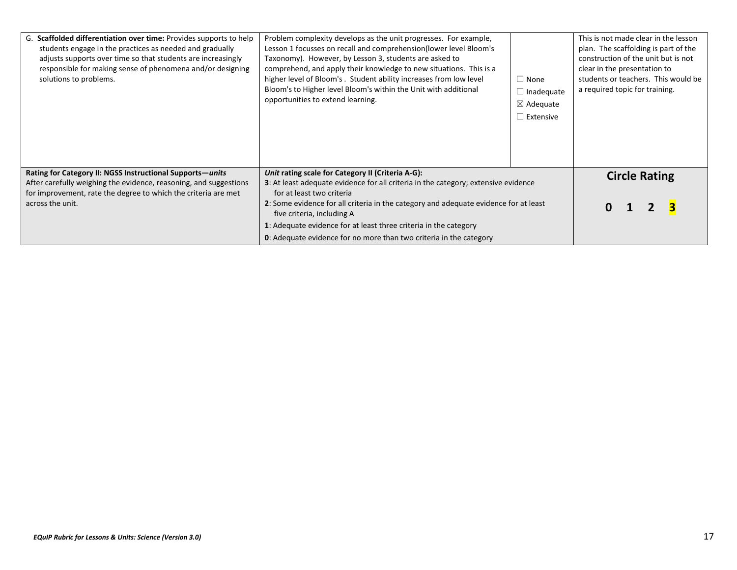| G. Scaffolded differentiation over time: Provides supports to help<br>students engage in the practices as needed and gradually<br>adjusts supports over time so that students are increasingly<br>responsible for making sense of phenomena and/or designing<br>solutions to problems. | Problem complexity develops as the unit progresses. For example,<br>Lesson 1 focusses on recall and comprehension(lower level Bloom's<br>Taxonomy). However, by Lesson 3, students are asked to<br>comprehend, and apply their knowledge to new situations. This is a<br>higher level of Bloom's. Student ability increases from low level<br>Bloom's to Higher level Bloom's within the Unit with additional<br>opportunities to extend learning. | $\Box$ None<br>$\Box$ Inadequate<br>$\boxtimes$ Adequate<br>$\Box$ Extensive | This is not made clear in the lesson<br>plan. The scaffolding is part of the<br>construction of the unit but is not<br>clear in the presentation to<br>students or teachers. This would be<br>a required topic for training. |  |  |  |  |
|----------------------------------------------------------------------------------------------------------------------------------------------------------------------------------------------------------------------------------------------------------------------------------------|----------------------------------------------------------------------------------------------------------------------------------------------------------------------------------------------------------------------------------------------------------------------------------------------------------------------------------------------------------------------------------------------------------------------------------------------------|------------------------------------------------------------------------------|------------------------------------------------------------------------------------------------------------------------------------------------------------------------------------------------------------------------------|--|--|--|--|
| Rating for Category II: NGSS Instructional Supports-units                                                                                                                                                                                                                              | Unit rating scale for Category II (Criteria A-G):                                                                                                                                                                                                                                                                                                                                                                                                  |                                                                              | <b>Circle Rating</b>                                                                                                                                                                                                         |  |  |  |  |
| After carefully weighing the evidence, reasoning, and suggestions<br>for improvement, rate the degree to which the criteria are met                                                                                                                                                    | 3: At least adequate evidence for all criteria in the category; extensive evidence<br>for at least two criteria                                                                                                                                                                                                                                                                                                                                    |                                                                              |                                                                                                                                                                                                                              |  |  |  |  |
| across the unit.                                                                                                                                                                                                                                                                       | 2: Some evidence for all criteria in the category and adequate evidence for at least<br>five criteria, including A                                                                                                                                                                                                                                                                                                                                 |                                                                              |                                                                                                                                                                                                                              |  |  |  |  |
|                                                                                                                                                                                                                                                                                        | 1: Adequate evidence for at least three criteria in the category                                                                                                                                                                                                                                                                                                                                                                                   |                                                                              |                                                                                                                                                                                                                              |  |  |  |  |
|                                                                                                                                                                                                                                                                                        | <b>0</b> : Adequate evidence for no more than two criteria in the category                                                                                                                                                                                                                                                                                                                                                                         |                                                                              |                                                                                                                                                                                                                              |  |  |  |  |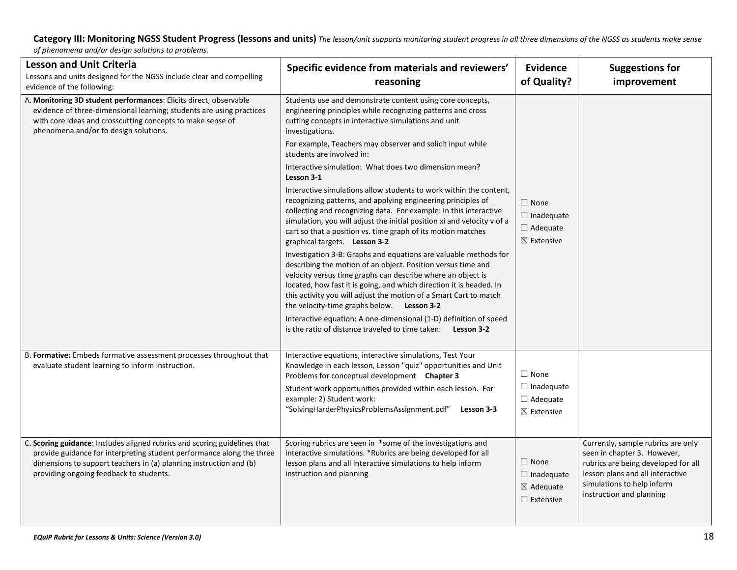**Category III: Monitoring NGSS Student Progress (lessons and units)** *The lesson/unit supports monitoring student progress in all three dimensions of the NGSS as students make sense* 

*of phenomena and/or design solutions to problems.*

| <b>Lesson and Unit Criteria</b><br>Lessons and units designed for the NGSS include clear and compelling<br>evidence of the following:                                                                                                                               | Specific evidence from materials and reviewers'<br>reasoning                                                                                                                                                                                                                                                                                                                                                                                                                                                                                                                                                                                                                                                                                                                                                                                                                                                                                                                                                                                                                                                                                                                                                                                                                                  | <b>Evidence</b><br>of Quality?                                               | <b>Suggestions for</b><br>improvement                                                                                                                                                                  |
|---------------------------------------------------------------------------------------------------------------------------------------------------------------------------------------------------------------------------------------------------------------------|-----------------------------------------------------------------------------------------------------------------------------------------------------------------------------------------------------------------------------------------------------------------------------------------------------------------------------------------------------------------------------------------------------------------------------------------------------------------------------------------------------------------------------------------------------------------------------------------------------------------------------------------------------------------------------------------------------------------------------------------------------------------------------------------------------------------------------------------------------------------------------------------------------------------------------------------------------------------------------------------------------------------------------------------------------------------------------------------------------------------------------------------------------------------------------------------------------------------------------------------------------------------------------------------------|------------------------------------------------------------------------------|--------------------------------------------------------------------------------------------------------------------------------------------------------------------------------------------------------|
| A. Monitoring 3D student performances: Elicits direct, observable<br>evidence of three-dimensional learning; students are using practices<br>with core ideas and crosscutting concepts to make sense of<br>phenomena and/or to design solutions.                    | Students use and demonstrate content using core concepts,<br>engineering principles while recognizing patterns and cross<br>cutting concepts in interactive simulations and unit<br>investigations.<br>For example, Teachers may observer and solicit input while<br>students are involved in:<br>Interactive simulation: What does two dimension mean?<br>Lesson 3-1<br>Interactive simulations allow students to work within the content,<br>recognizing patterns, and applying engineering principles of<br>collecting and recognizing data. For example: In this interactive<br>simulation, you will adjust the initial position xi and velocity v of a<br>cart so that a position vs. time graph of its motion matches<br>graphical targets. Lesson 3-2<br>Investigation 3-B: Graphs and equations are valuable methods for<br>describing the motion of an object. Position versus time and<br>velocity versus time graphs can describe where an object is<br>located, how fast it is going, and which direction it is headed. In<br>this activity you will adjust the motion of a Smart Cart to match<br>the velocity-time graphs below. Lesson 3-2<br>Interactive equation: A one-dimensional (1-D) definition of speed<br>is the ratio of distance traveled to time taken: Lesson 3-2 | $\Box$ None<br>$\Box$ Inadequate<br>$\Box$ Adequate<br>$\boxtimes$ Extensive |                                                                                                                                                                                                        |
| B. Formative: Embeds formative assessment processes throughout that<br>evaluate student learning to inform instruction.                                                                                                                                             | Interactive equations, interactive simulations, Test Your<br>Knowledge in each lesson, Lesson "quiz" opportunities and Unit<br>Problems for conceptual development Chapter 3<br>Student work opportunities provided within each lesson. For<br>example: 2) Student work:<br>"SolvingHarderPhysicsProblemsAssignment.pdf"<br>Lesson 3-3                                                                                                                                                                                                                                                                                                                                                                                                                                                                                                                                                                                                                                                                                                                                                                                                                                                                                                                                                        | $\Box$ None<br>$\Box$ Inadequate<br>$\Box$ Adequate<br>$\boxtimes$ Extensive |                                                                                                                                                                                                        |
| C. Scoring guidance: Includes aligned rubrics and scoring guidelines that<br>provide guidance for interpreting student performance along the three<br>dimensions to support teachers in (a) planning instruction and (b)<br>providing ongoing feedback to students. | Scoring rubrics are seen in *some of the investigations and<br>interactive simulations. *Rubrics are being developed for all<br>lesson plans and all interactive simulations to help inform<br>instruction and planning                                                                                                                                                                                                                                                                                                                                                                                                                                                                                                                                                                                                                                                                                                                                                                                                                                                                                                                                                                                                                                                                       | $\Box$ None<br>$\Box$ Inadequate<br>$\boxtimes$ Adequate<br>$\Box$ Extensive | Currently, sample rubrics are only<br>seen in chapter 3. However,<br>rubrics are being developed for all<br>lesson plans and all interactive<br>simulations to help inform<br>instruction and planning |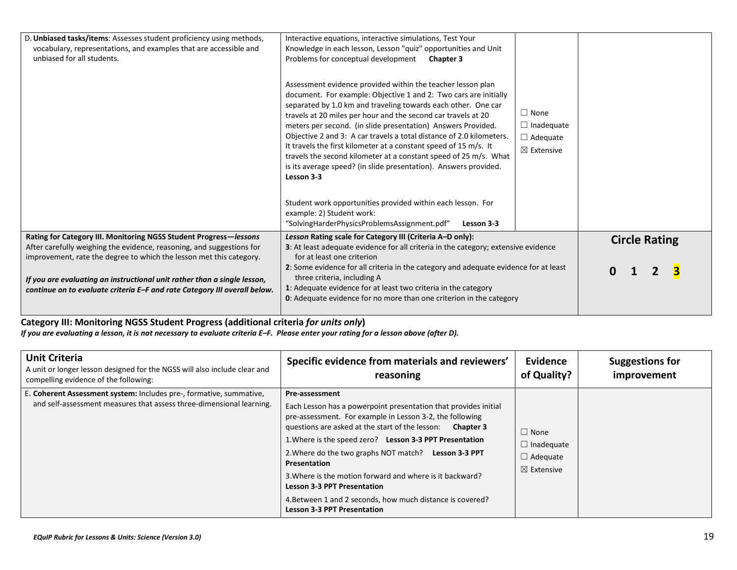| D. Unbiased tasks/items: Assesses student proficiency using methods,<br>vocabulary, representations, and examples that are accessible and<br>unbiased for all students.                                                                                                                               | Interactive equations, interactive simulations, Test Your<br>Knowledge in each lesson, Lesson "quiz" opportunities and Unit<br>Problems for conceptual development<br><b>Chapter 3</b><br>Assessment evidence provided within the teacher lesson plan<br>document. For example: Objective 1 and 2: Two cars are initially<br>separated by 1.0 km and traveling towards each other. One car<br>travels at 20 miles per hour and the second car travels at 20<br>meters per second. (in slide presentation) Answers Provided.<br>Objective 2 and 3: A car travels a total distance of 2.0 kilometers.<br>It travels the first kilometer at a constant speed of 15 m/s. It<br>travels the second kilometer at a constant speed of 25 m/s. What<br>is its average speed? (in slide presentation). Answers provided.<br>Lesson 3-3<br>Student work opportunities provided within each lesson. For<br>example: 2) Student work: | $\Box$ None<br>$\Box$ Inadequate<br>$\Box$ Adequate<br>$\boxtimes$ Extensive |                      |
|-------------------------------------------------------------------------------------------------------------------------------------------------------------------------------------------------------------------------------------------------------------------------------------------------------|---------------------------------------------------------------------------------------------------------------------------------------------------------------------------------------------------------------------------------------------------------------------------------------------------------------------------------------------------------------------------------------------------------------------------------------------------------------------------------------------------------------------------------------------------------------------------------------------------------------------------------------------------------------------------------------------------------------------------------------------------------------------------------------------------------------------------------------------------------------------------------------------------------------------------|------------------------------------------------------------------------------|----------------------|
| Rating for Category III. Monitoring NGSS Student Progress-lessons                                                                                                                                                                                                                                     | "SolvingHarderPhysicsProblemsAssignment.pdf"<br>Lesson 3-3<br>Lesson Rating scale for Category III (Criteria A-D only):                                                                                                                                                                                                                                                                                                                                                                                                                                                                                                                                                                                                                                                                                                                                                                                                   |                                                                              |                      |
| After carefully weighing the evidence, reasoning, and suggestions for<br>improvement, rate the degree to which the lesson met this category.<br>If you are evaluating an instructional unit rather than a single lesson,<br>continue on to evaluate criteria E-F and rate Category III overall below. | 3: At least adequate evidence for all criteria in the category; extensive evidence<br>for at least one criterion<br>2: Some evidence for all criteria in the category and adequate evidence for at least<br>three criteria, including A<br>1: Adequate evidence for at least two criteria in the category<br>0: Adequate evidence for no more than one criterion in the category                                                                                                                                                                                                                                                                                                                                                                                                                                                                                                                                          |                                                                              | <b>Circle Rating</b> |

**Category III: Monitoring NGSS Student Progress (additional criteria** *for units only***)** *If you are evaluating a lesson, it is not necessary to evaluate criteria E–F. Please enter your rating for a lesson above (after D).*

| <b>Unit Criteria</b><br>A unit or longer lesson designed for the NGSS will also include clear and<br>compelling evidence of the following:  | Specific evidence from materials and reviewers'<br>reasoning                                                                                                                                                                                                                                                                                                                                                                                                                                                                                              | Evidence<br>of Quality?                                                      | Suggestions for<br>improvement |
|---------------------------------------------------------------------------------------------------------------------------------------------|-----------------------------------------------------------------------------------------------------------------------------------------------------------------------------------------------------------------------------------------------------------------------------------------------------------------------------------------------------------------------------------------------------------------------------------------------------------------------------------------------------------------------------------------------------------|------------------------------------------------------------------------------|--------------------------------|
| E. Coherent Assessment system: Includes pre-, formative, summative,<br>and self-assessment measures that assess three-dimensional learning. | Pre-assessment<br>Each Lesson has a powerpoint presentation that provides initial<br>pre-assessment. For example in Lesson 3-2, the following<br>questions are asked at the start of the lesson: Chapter 3<br>1. Where is the speed zero? Lesson 3-3 PPT Presentation<br>2. Where do the two graphs NOT match? Lesson 3-3 PPT<br><b>Presentation</b><br>3. Where is the motion forward and where is it backward?<br><b>Lesson 3-3 PPT Presentation</b><br>4. Between 1 and 2 seconds, how much distance is covered?<br><b>Lesson 3-3 PPT Presentation</b> | $\Box$ None<br>$\Box$ Inadequate<br>$\Box$ Adequate<br>$\boxtimes$ Extensive |                                |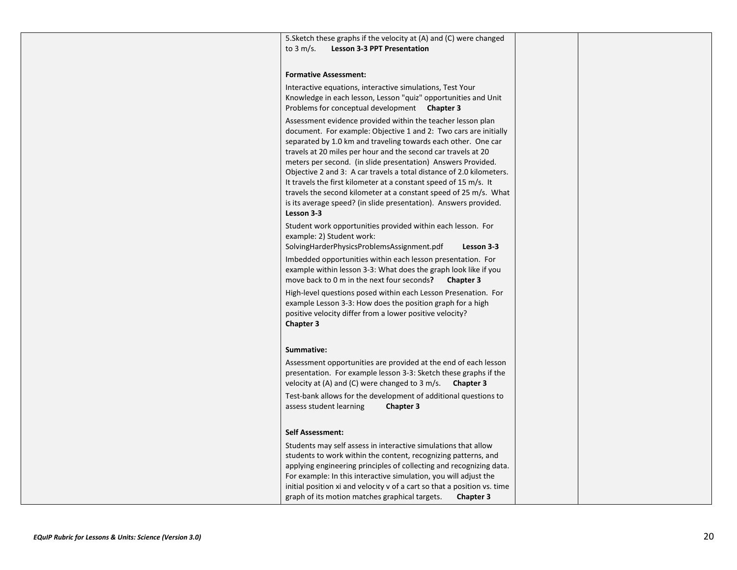5.Sketch these graphs if the velocity at (A) and (C) were changed to 3 m/s. **Lesson 3-3 PPT Presentation**

#### **Formative Assessment:**

Interactive equations, interactive simulations, Test Your Knowledge in each lesson, Lesson "quiz" opportunities and Unit Problems for conceptual development **Chapter 3** Assessment evidence provided within the teacher lesson plan document. For example: Objective 1 and 2: Two cars are initially separated by 1.0 km and traveling towards each other. One car travels at 20 miles per hour and the second car travels at 20 meters per second. (in slide presentation) Answers Provided. Objective 2 and 3: A car travels a total distance of 2.0 kilometers. It travels the first kilometer at a constant speed of 15 m/s. It travels the second kilometer at a constant speed of 25 m/s. What is its average speed? (in slide presentation). Answers provided. **Lesson 3-3** Student work opportunities provided within each lesson. For example: 2) Student work:

SolvingHarderPhysicsProblemsAssignment.pdf **Lesson 3-3**

Imbedded opportunities within each lesson presentation. For example within lesson 3-3: What does the graph look like if you move back to 0 m in the next four seconds**? Chapter 3**

High-level questions posed within each Lesson Presenation. For example Lesson 3-3: How does the position graph for a high positive velocity differ from a lower positive velocity? **Chapter 3**

#### **Summative:**

Assessment opportunities are provided at the end of each lesson presentation. For example lesson 3-3: Sketch these graphs if the velocity at (A) and (C) were changed to 3 m/s. **Chapter 3** Test-bank allows for the development of additional questions to assess student learning **Chapter 3 Self Assessment:**  Students may self assess in interactive simulations that allow students to work within the content, recognizing patterns, and applying engineering principles of collecting and recognizing data. For example: In this interactive simulation, you will adjust the initial position xi and velocity v of a cart so that a position vs. time

graph of its motion matches graphical targets. **Chapter 3**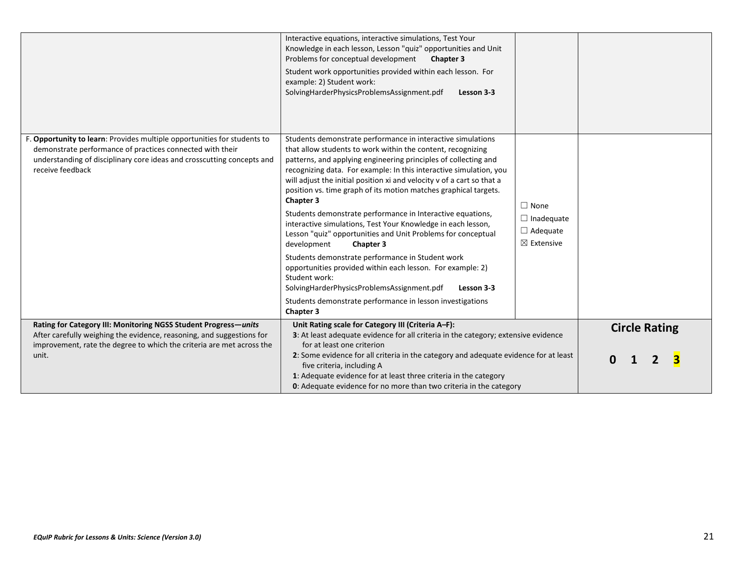|                                                                                                                                                                                                                                     | Interactive equations, interactive simulations, Test Your<br>Knowledge in each lesson, Lesson "quiz" opportunities and Unit<br>Problems for conceptual development<br><b>Chapter 3</b><br>Student work opportunities provided within each lesson. For<br>example: 2) Student work:<br>SolvingHarderPhysicsProblemsAssignment.pdf<br>Lesson 3-3                                                                                                                                                                                                                                                                                                                                                                                                                                                                                                                                                                                           |                                                                              |                      |
|-------------------------------------------------------------------------------------------------------------------------------------------------------------------------------------------------------------------------------------|------------------------------------------------------------------------------------------------------------------------------------------------------------------------------------------------------------------------------------------------------------------------------------------------------------------------------------------------------------------------------------------------------------------------------------------------------------------------------------------------------------------------------------------------------------------------------------------------------------------------------------------------------------------------------------------------------------------------------------------------------------------------------------------------------------------------------------------------------------------------------------------------------------------------------------------|------------------------------------------------------------------------------|----------------------|
| F. Opportunity to learn: Provides multiple opportunities for students to<br>demonstrate performance of practices connected with their<br>understanding of disciplinary core ideas and crosscutting concepts and<br>receive feedback | Students demonstrate performance in interactive simulations<br>that allow students to work within the content, recognizing<br>patterns, and applying engineering principles of collecting and<br>recognizing data. For example: In this interactive simulation, you<br>will adjust the initial position xi and velocity v of a cart so that a<br>position vs. time graph of its motion matches graphical targets.<br>Chapter 3<br>Students demonstrate performance in Interactive equations,<br>interactive simulations, Test Your Knowledge in each lesson,<br>Lesson "quiz" opportunities and Unit Problems for conceptual<br>development<br><b>Chapter 3</b><br>Students demonstrate performance in Student work<br>opportunities provided within each lesson. For example: 2)<br>Student work:<br>SolvingHarderPhysicsProblemsAssignment.pdf<br>Lesson 3-3<br>Students demonstrate performance in lesson investigations<br>Chapter 3 | $\Box$ None<br>$\Box$ Inadequate<br>$\Box$ Adequate<br>$\boxtimes$ Extensive |                      |
| Rating for Category III: Monitoring NGSS Student Progress-units<br>After carefully weighing the evidence, reasoning, and suggestions for<br>improvement, rate the degree to which the criteria are met across the<br>unit.          | Unit Rating scale for Category III (Criteria A-F):<br>3: At least adequate evidence for all criteria in the category; extensive evidence<br>for at least one criterion<br>2: Some evidence for all criteria in the category and adequate evidence for at least<br>five criteria, including A<br>1: Adequate evidence for at least three criteria in the category<br>0: Adequate evidence for no more than two criteria in the category                                                                                                                                                                                                                                                                                                                                                                                                                                                                                                   |                                                                              | <b>Circle Rating</b> |